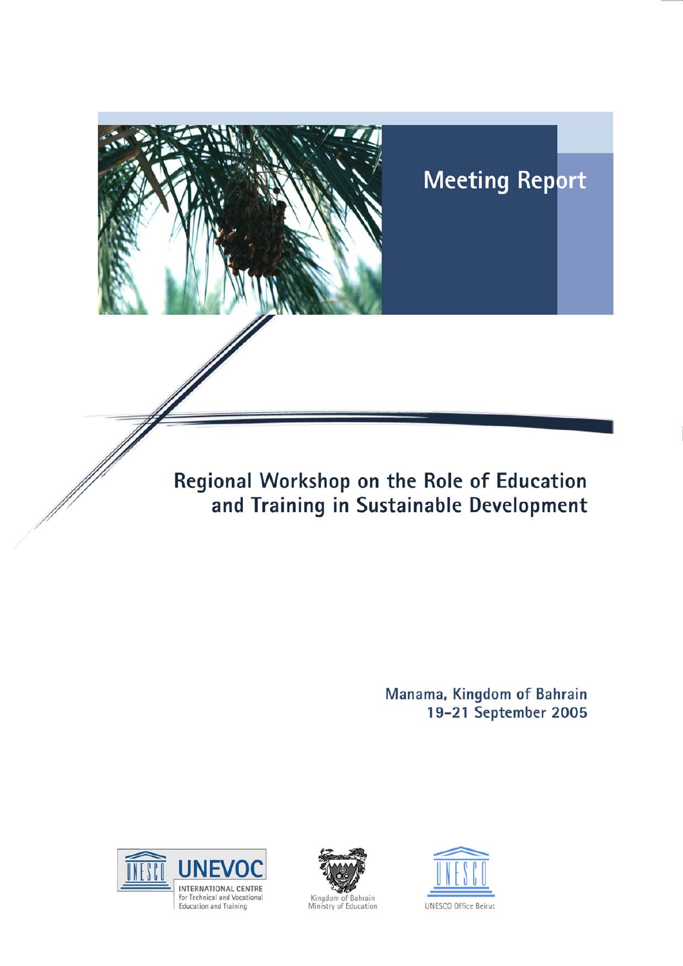

Manama, Kingdom of Bahrain 19-21 September 2005







**UNESCO Office Beirut**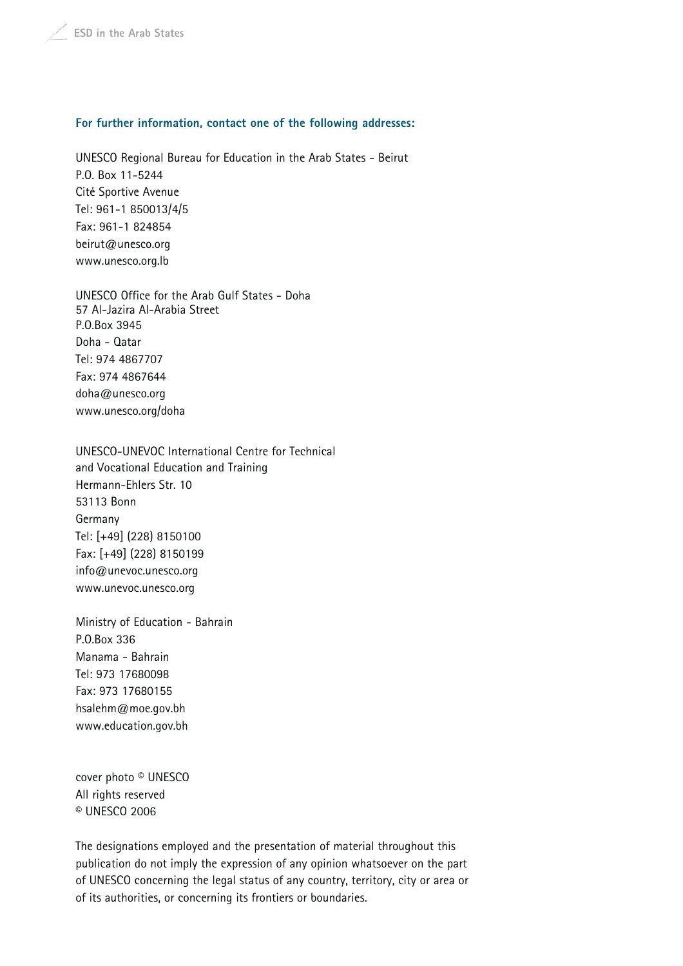#### **For further information, contact one of the following addresses:**

UNESCO Regional Bureau for Education in the Arab States - Beirut P.O. Box 11-5244 Cité Sportive Avenue Tel: 961-1 850013/4/5 Fax: 961-1 824854 beirut@unesco.org www.unesco.org.lb

UNESCO Office for the Arab Gulf States - Doha 57 Al-Jazira Al-Arabia Street P.O.Box 3945 Doha - Qatar Tel: 974 4867707 Fax: 974 4867644 doha@unesco.org www.unesco.org/doha

UNESCO-UNEVOC International Centre for Technical and Vocational Education and Training Hermann-Ehlers Str. 10 53113 Bonn Germany Tel: [+49] (228) 8150100 Fax: [+49] (228) 8150199 info@unevoc.unesco.org www.unevoc.unesco.org

Ministry of Education - Bahrain P.O.Box 336 Manama - Bahrain Tel: 973 17680098 Fax: 973 17680155 hsalehm@moe.gov.bh www.education.gov.bh

cover photo © UNESCO All rights reserved © UNESCO 2006

The designations employed and the presentation of material throughout this publication do not imply the expression of any opinion whatsoever on the part of UNESCO concerning the legal status of any country, territory, city or area or of its authorities, or concerning its frontiers or boundaries.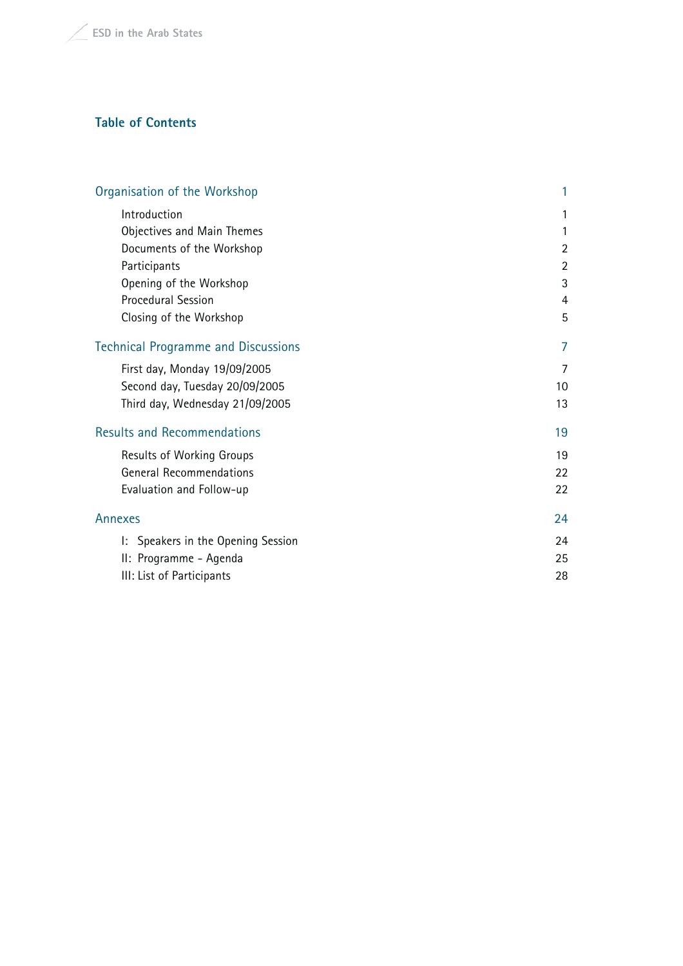### **Table of Contents**

| Organisation of the Workshop               | 1              |
|--------------------------------------------|----------------|
| Introduction                               | 1              |
| Objectives and Main Themes                 | 1              |
| Documents of the Workshop                  | $\overline{2}$ |
| Participants                               | 2              |
| Opening of the Workshop                    | 3              |
| <b>Procedural Session</b>                  | 4              |
| Closing of the Workshop                    | 5              |
| <b>Technical Programme and Discussions</b> | 7              |
| First day, Monday 19/09/2005               | 7              |
| Second day, Tuesday 20/09/2005             | 10             |
| Third day, Wednesday 21/09/2005            | 13             |
| <b>Results and Recommendations</b>         | 19             |
| <b>Results of Working Groups</b>           | 19             |
| <b>General Recommendations</b>             | 22             |
| Evaluation and Follow-up                   | 22             |
| <b>Annexes</b>                             | 24             |
| I: Speakers in the Opening Session         | 24             |
| II: Programme - Agenda                     | 25             |
| III: List of Participants                  | 28             |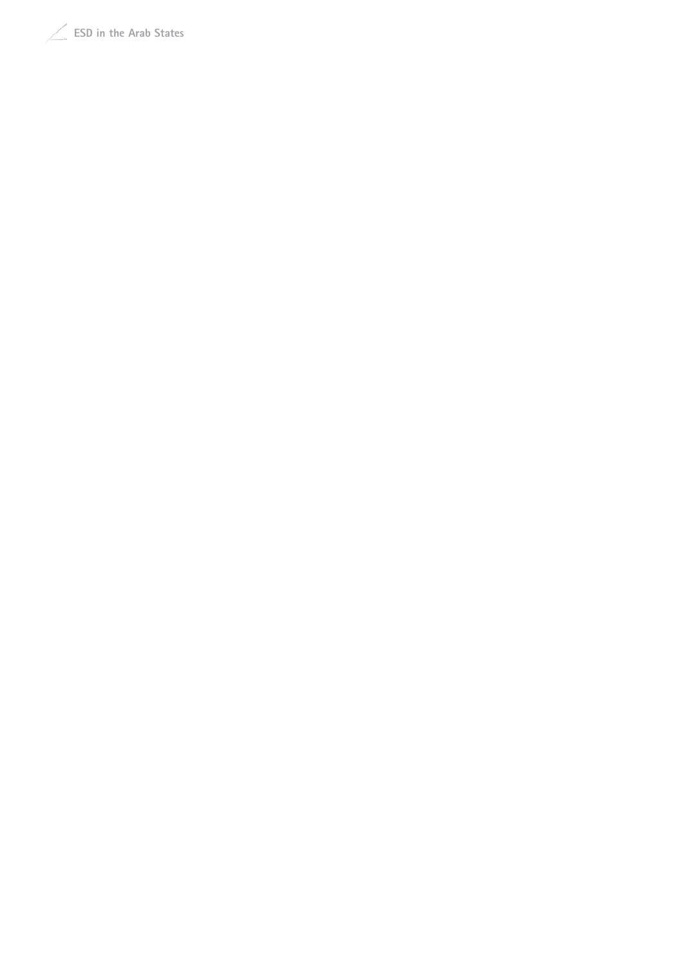**ESD in the Arab States**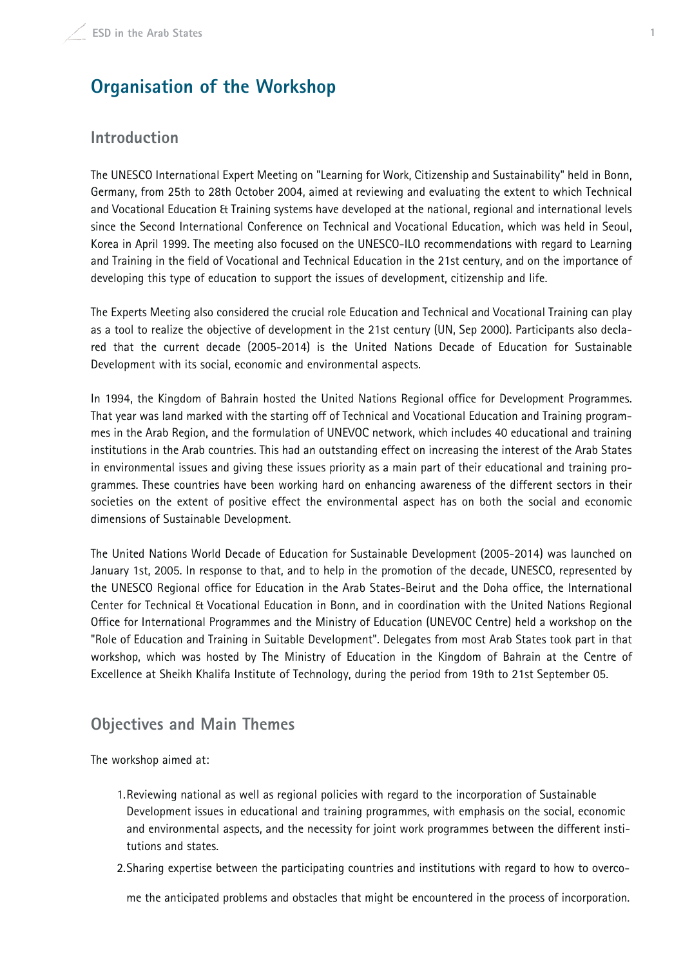## **Organisation of the Workshop**

### **Introduction**

The UNESCO International Expert Meeting on "Learning for Work, Citizenship and Sustainability" held in Bonn, Germany, from 25th to 28th October 2004, aimed at reviewing and evaluating the extent to which Technical and Vocational Education & Training systems have developed at the national, regional and international levels since the Second International Conference on Technical and Vocational Education, which was held in Seoul, Korea in April 1999. The meeting also focused on the UNESCO-ILO recommendations with regard to Learning and Training in the field of Vocational and Technical Education in the 21st century, and on the importance of developing this type of education to support the issues of development, citizenship and life.

The Experts Meeting also considered the crucial role Education and Technical and Vocational Training can play as a tool to realize the objective of development in the 21st century (UN, Sep 2000). Participants also declared that the current decade (2005-2014) is the United Nations Decade of Education for Sustainable Development with its social, economic and environmental aspects.

In 1994, the Kingdom of Bahrain hosted the United Nations Regional office for Development Programmes. That year was land marked with the starting off of Technical and Vocational Education and Training programmes in the Arab Region, and the formulation of UNEVOC network, which includes 40 educational and training institutions in the Arab countries. This had an outstanding effect on increasing the interest of the Arab States in environmental issues and giving these issues priority as a main part of their educational and training programmes. These countries have been working hard on enhancing awareness of the different sectors in their societies on the extent of positive effect the environmental aspect has on both the social and economic dimensions of Sustainable Development.

The United Nations World Decade of Education for Sustainable Development (2005-2014) was launched on January 1st, 2005. In response to that, and to help in the promotion of the decade, UNESCO, represented by the UNESCO Regional office for Education in the Arab States-Beirut and the Doha office, the International Center for Technical & Vocational Education in Bonn, and in coordination with the United Nations Regional Office for International Programmes and the Ministry of Education (UNEVOC Centre) held a workshop on the "Role of Education and Training in Suitable Development". Delegates from most Arab States took part in that workshop, which was hosted by The Ministry of Education in the Kingdom of Bahrain at the Centre of Excellence at Sheikh Khalifa Institute of Technology, during the period from 19th to 21st September 05.

#### **Objectives and Main Themes**

The workshop aimed at:

- 1.Reviewing national as well as regional policies with regard to the incorporation of Sustainable Development issues in educational and training programmes, with emphasis on the social, economic and environmental aspects, and the necessity for joint work programmes between the different institutions and states.
- 2.Sharing expertise between the participating countries and institutions with regard to how to overco-

me the anticipated problems and obstacles that might be encountered in the process of incorporation.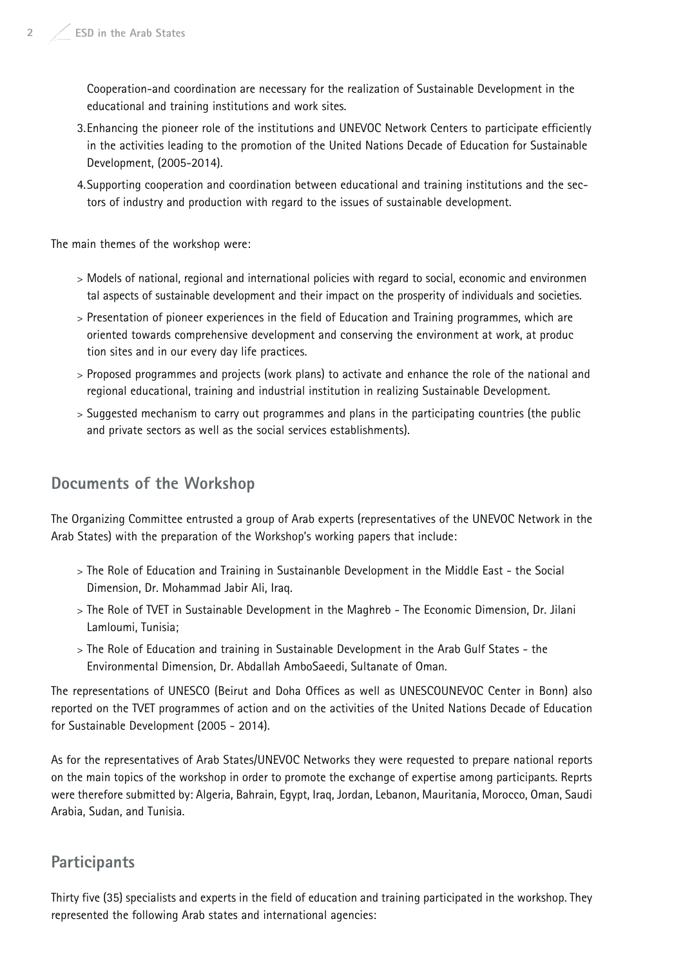Cooperation-and coordination are necessary for the realization of Sustainable Development in the educational and training institutions and work sites.

- 3.Enhancing the pioneer role of the institutions and UNEVOC Network Centers to participate efficiently in the activities leading to the promotion of the United Nations Decade of Education for Sustainable Development, (2005-2014).
- 4.Supporting cooperation and coordination between educational and training institutions and the sectors of industry and production with regard to the issues of sustainable development.

The main themes of the workshop were:

- > Models of national, regional and international policies with regard to social, economic and environmen tal aspects of sustainable development and their impact on the prosperity of individuals and societies.
- > Presentation of pioneer experiences in the field of Education and Training programmes, which are oriented towards comprehensive development and conserving the environment at work, at produc tion sites and in our every day life practices.
- > Proposed programmes and projects (work plans) to activate and enhance the role of the national and regional educational, training and industrial institution in realizing Sustainable Development.
- > Suggested mechanism to carry out programmes and plans in the participating countries (the public and private sectors as well as the social services establishments).

### **Documents of the Workshop**

The Organizing Committee entrusted a group of Arab experts (representatives of the UNEVOC Network in the Arab States) with the preparation of the Workshop's working papers that include:

- > The Role of Education and Training in Sustainanble Development in the Middle East the Social Dimension, Dr. Mohammad Jabir Ali, Iraq.
- > The Role of TVET in Sustainable Development in the Maghreb The Economic Dimension, Dr. Jilani Lamloumi, Tunisia;
- > The Role of Education and training in Sustainable Development in the Arab Gulf States the Environmental Dimension, Dr. Abdallah AmboSaeedi, Sultanate of Oman.

The representations of UNESCO (Beirut and Doha Offices as well as UNESCOUNEVOC Center in Bonn) also reported on the TVET programmes of action and on the activities of the United Nations Decade of Education for Sustainable Development (2005 - 2014).

As for the representatives of Arab States/UNEVOC Networks they were requested to prepare national reports on the main topics of the workshop in order to promote the exchange of expertise among participants. Reprts were therefore submitted by: Algeria, Bahrain, Egypt, Iraq, Jordan, Lebanon, Mauritania, Morocco, Oman, Saudi Arabia, Sudan, and Tunisia.

### **Participants**

Thirty five (35) specialists and experts in the field of education and training participated in the workshop. They represented the following Arab states and international agencies: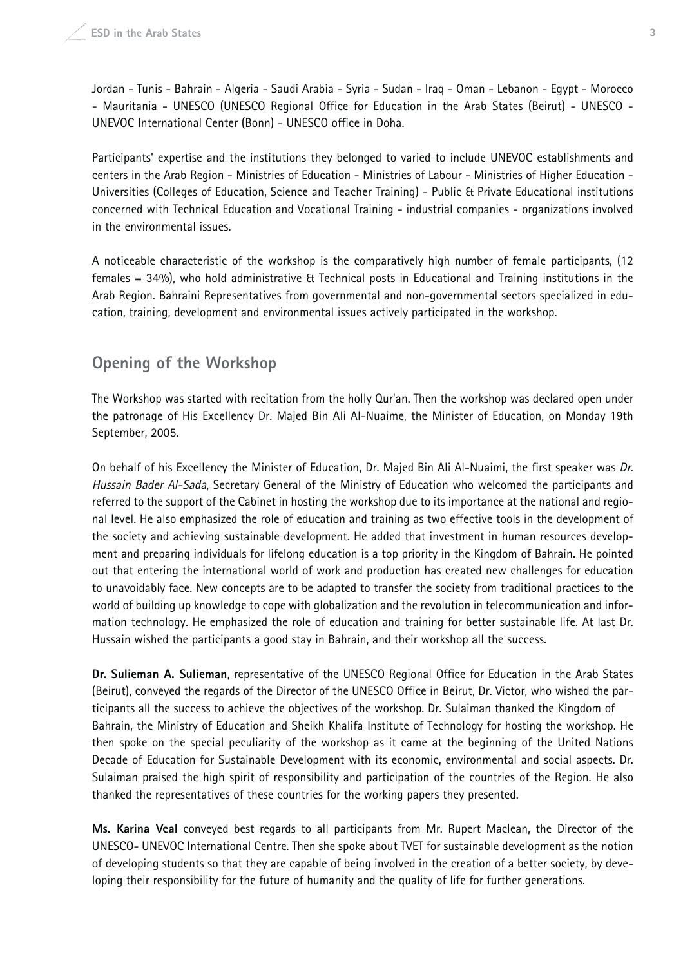Jordan - Tunis - Bahrain - Algeria - Saudi Arabia - Syria - Sudan - Iraq - Oman - Lebanon - Egypt - Morocco - Mauritania - UNESCO (UNESCO Regional Office for Education in the Arab States (Beirut) - UNESCO - UNEVOC International Center (Bonn) - UNESCO office in Doha.

Participants' expertise and the institutions they belonged to varied to include UNEVOC establishments and centers in the Arab Region - Ministries of Education - Ministries of Labour - Ministries of Higher Education - Universities (Colleges of Education, Science and Teacher Training) - Public & Private Educational institutions concerned with Technical Education and Vocational Training - industrial companies - organizations involved in the environmental issues.

A noticeable characteristic of the workshop is the comparatively high number of female participants, (12 females = 34%), who hold administrative & Technical posts in Educational and Training institutions in the Arab Region. Bahraini Representatives from governmental and non-governmental sectors specialized in education, training, development and environmental issues actively participated in the workshop.

### **Opening of the Workshop**

The Workshop was started with recitation from the holly Qur'an. Then the workshop was declared open under the patronage of His Excellency Dr. Majed Bin Ali Al-Nuaime, the Minister of Education, on Monday 19th September, 2005.

On behalf of his Excellency the Minister of Education, Dr. Majed Bin Ali Al-Nuaimi, the first speaker was Dr. Hussain Bader Al-Sada, Secretary General of the Ministry of Education who welcomed the participants and referred to the support of the Cabinet in hosting the workshop due to its importance at the national and regional level. He also emphasized the role of education and training as two effective tools in the development of the society and achieving sustainable development. He added that investment in human resources development and preparing individuals for lifelong education is a top priority in the Kingdom of Bahrain. He pointed out that entering the international world of work and production has created new challenges for education to unavoidably face. New concepts are to be adapted to transfer the society from traditional practices to the world of building up knowledge to cope with globalization and the revolution in telecommunication and information technology. He emphasized the role of education and training for better sustainable life. At last Dr. Hussain wished the participants a good stay in Bahrain, and their workshop all the success.

**Dr. Sulieman A. Sulieman**, representative of the UNESCO Regional Office for Education in the Arab States (Beirut), conveyed the regards of the Director of the UNESCO Office in Beirut, Dr. Victor, who wished the participants all the success to achieve the objectives of the workshop. Dr. Sulaiman thanked the Kingdom of Bahrain, the Ministry of Education and Sheikh Khalifa Institute of Technology for hosting the workshop. He then spoke on the special peculiarity of the workshop as it came at the beginning of the United Nations Decade of Education for Sustainable Development with its economic, environmental and social aspects. Dr. Sulaiman praised the high spirit of responsibility and participation of the countries of the Region. He also thanked the representatives of these countries for the working papers they presented.

**Ms. Karina Veal** conveyed best regards to all participants from Mr. Rupert Maclean, the Director of the UNESCO- UNEVOC International Centre. Then she spoke about TVET for sustainable development as the notion of developing students so that they are capable of being involved in the creation of a better society, by developing their responsibility for the future of humanity and the quality of life for further generations.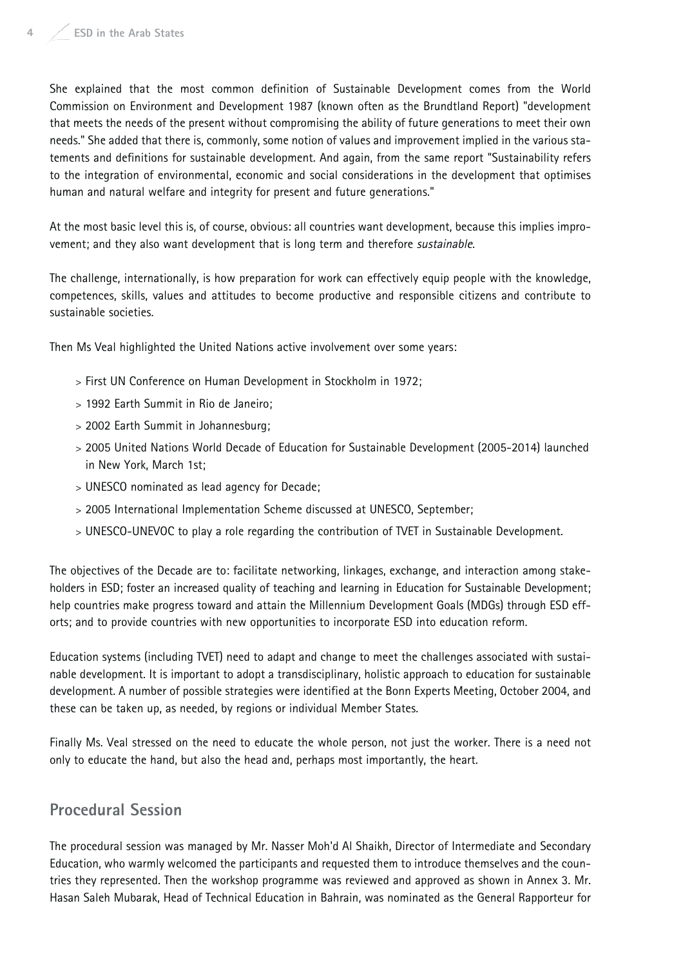She explained that the most common definition of Sustainable Development comes from the World Commission on Environment and Development 1987 (known often as the Brundtland Report) "development that meets the needs of the present without compromising the ability of future generations to meet their own needs." She added that there is, commonly, some notion of values and improvement implied in the various statements and definitions for sustainable development. And again, from the same report "Sustainability refers to the integration of environmental, economic and social considerations in the development that optimises human and natural welfare and integrity for present and future generations."

At the most basic level this is, of course, obvious: all countries want development, because this implies improvement; and they also want development that is long term and therefore sustainable.

The challenge, internationally, is how preparation for work can effectively equip people with the knowledge, competences, skills, values and attitudes to become productive and responsible citizens and contribute to sustainable societies.

Then Ms Veal highlighted the United Nations active involvement over some years:

- > First UN Conference on Human Development in Stockholm in 1972;
- > 1992 Earth Summit in Rio de Janeiro;
- > 2002 Earth Summit in Johannesburg;
- > 2005 United Nations World Decade of Education for Sustainable Development (2005-2014) launched in New York, March 1st;
- > UNESCO nominated as lead agency for Decade;
- > 2005 International Implementation Scheme discussed at UNESCO, September;
- > UNESCO-UNEVOC to play a role regarding the contribution of TVET in Sustainable Development.

The objectives of the Decade are to: facilitate networking, linkages, exchange, and interaction among stakeholders in ESD; foster an increased quality of teaching and learning in Education for Sustainable Development; help countries make progress toward and attain the Millennium Development Goals (MDGs) through ESD efforts; and to provide countries with new opportunities to incorporate ESD into education reform.

Education systems (including TVET) need to adapt and change to meet the challenges associated with sustainable development. It is important to adopt a transdisciplinary, holistic approach to education for sustainable development. A number of possible strategies were identified at the Bonn Experts Meeting, October 2004, and these can be taken up, as needed, by regions or individual Member States.

Finally Ms. Veal stressed on the need to educate the whole person, not just the worker. There is a need not only to educate the hand, but also the head and, perhaps most importantly, the heart.

### **Procedural Session**

The procedural session was managed by Mr. Nasser Moh'd Al Shaikh, Director of Intermediate and Secondary Education, who warmly welcomed the participants and requested them to introduce themselves and the countries they represented. Then the workshop programme was reviewed and approved as shown in Annex 3. Mr. Hasan Saleh Mubarak, Head of Technical Education in Bahrain, was nominated as the General Rapporteur for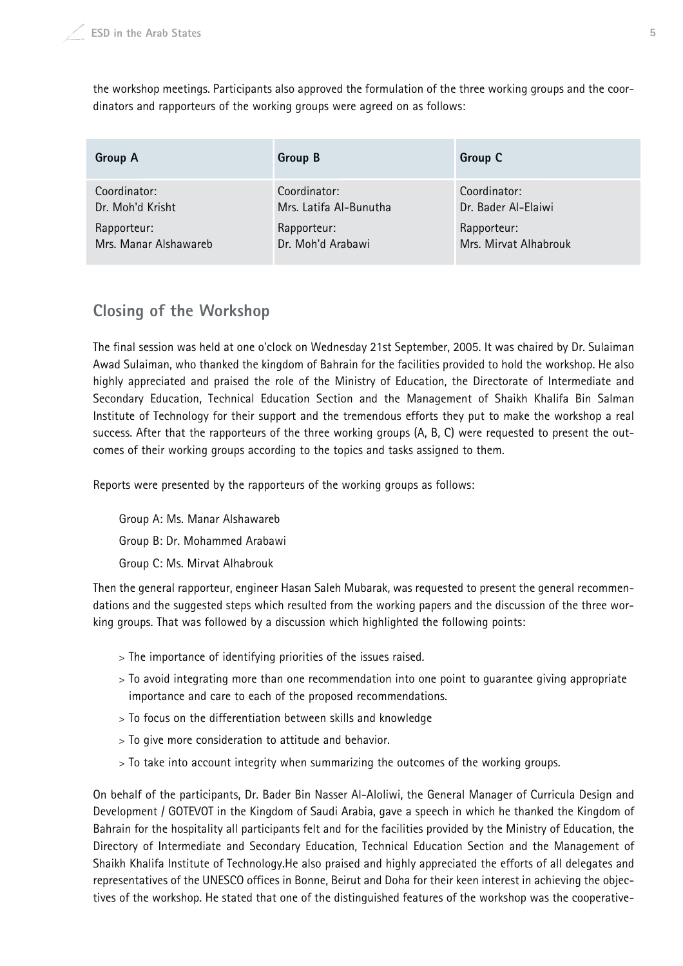the workshop meetings. Participants also approved the formulation of the three working groups and the coordinators and rapporteurs of the working groups were agreed on as follows:

| <b>Group A</b>        | Group B                | <b>Group C</b>        |
|-----------------------|------------------------|-----------------------|
| Coordinator:          | Coordinator:           | Coordinator:          |
| Dr. Moh'd Krisht      | Mrs. Latifa Al-Bunutha | Dr. Bader Al-Elaiwi   |
| Rapporteur:           | Rapporteur:            | Rapporteur:           |
| Mrs. Manar Alshawareb | Dr. Moh'd Arabawi      | Mrs. Mirvat Alhabrouk |

### **Closing of the Workshop**

The final session was held at one o'clock on Wednesday 21st September, 2005. It was chaired by Dr. Sulaiman Awad Sulaiman, who thanked the kingdom of Bahrain for the facilities provided to hold the workshop. He also highly appreciated and praised the role of the Ministry of Education, the Directorate of Intermediate and Secondary Education, Technical Education Section and the Management of Shaikh Khalifa Bin Salman Institute of Technology for their support and the tremendous efforts they put to make the workshop a real success. After that the rapporteurs of the three working groups (A, B, C) were requested to present the outcomes of their working groups according to the topics and tasks assigned to them.

Reports were presented by the rapporteurs of the working groups as follows:

Group A: Ms. Manar Alshawareb Group B: Dr. Mohammed Arabawi Group C: Ms. Mirvat Alhabrouk

Then the general rapporteur, engineer Hasan Saleh Mubarak, was requested to present the general recommendations and the suggested steps which resulted from the working papers and the discussion of the three working groups. That was followed by a discussion which highlighted the following points:

- > The importance of identifying priorities of the issues raised.
- > To avoid integrating more than one recommendation into one point to guarantee giving appropriate importance and care to each of the proposed recommendations.
- > To focus on the differentiation between skills and knowledge
- > To give more consideration to attitude and behavior.
- > To take into account integrity when summarizing the outcomes of the working groups.

On behalf of the participants, Dr. Bader Bin Nasser Al-Aloliwi, the General Manager of Curricula Design and Development / GOTEVOT in the Kingdom of Saudi Arabia, gave a speech in which he thanked the Kingdom of Bahrain for the hospitality all participants felt and for the facilities provided by the Ministry of Education, the Directory of Intermediate and Secondary Education, Technical Education Section and the Management of Shaikh Khalifa Institute of Technology.He also praised and highly appreciated the efforts of all delegates and representatives of the UNESCO offices in Bonne, Beirut and Doha for their keen interest in achieving the objectives of the workshop. He stated that one of the distinguished features of the workshop was the cooperative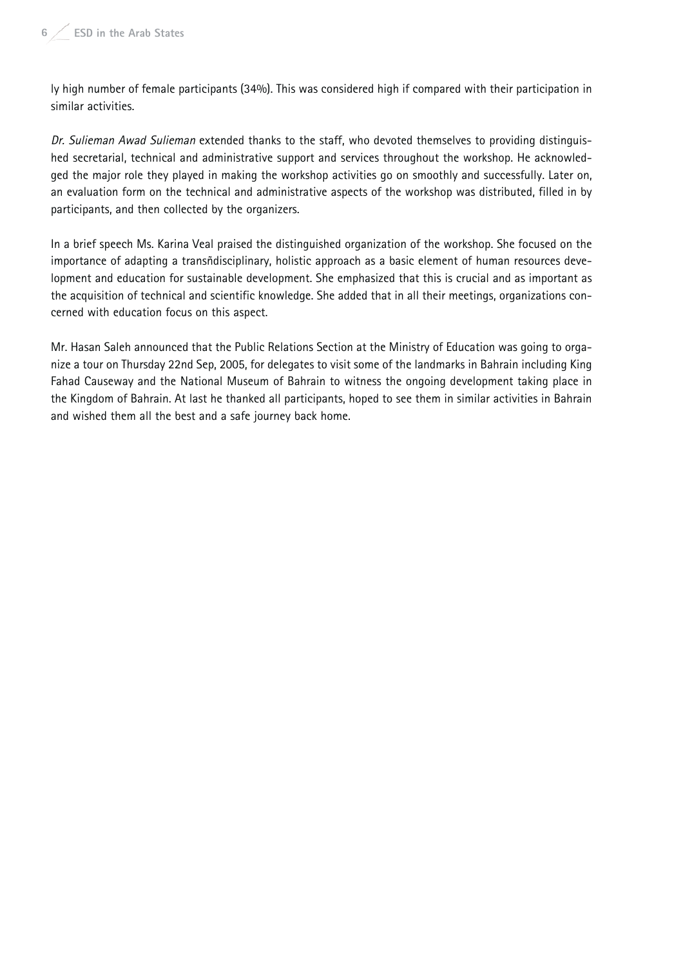ly high number of female participants (34%). This was considered high if compared with their participation in similar activities.

Dr. Sulieman Awad Sulieman extended thanks to the staff, who devoted themselves to providing distinguished secretarial, technical and administrative support and services throughout the workshop. He acknowledged the major role they played in making the workshop activities go on smoothly and successfully. Later on, an evaluation form on the technical and administrative aspects of the workshop was distributed, filled in by participants, and then collected by the organizers.

In a brief speech Ms. Karina Veal praised the distinguished organization of the workshop. She focused on the importance of adapting a transñdisciplinary, holistic approach as a basic element of human resources development and education for sustainable development. She emphasized that this is crucial and as important as the acquisition of technical and scientific knowledge. She added that in all their meetings, organizations concerned with education focus on this aspect.

Mr. Hasan Saleh announced that the Public Relations Section at the Ministry of Education was going to organize a tour on Thursday 22nd Sep, 2005, for delegates to visit some of the landmarks in Bahrain including King Fahad Causeway and the National Museum of Bahrain to witness the ongoing development taking place in the Kingdom of Bahrain. At last he thanked all participants, hoped to see them in similar activities in Bahrain and wished them all the best and a safe journey back home.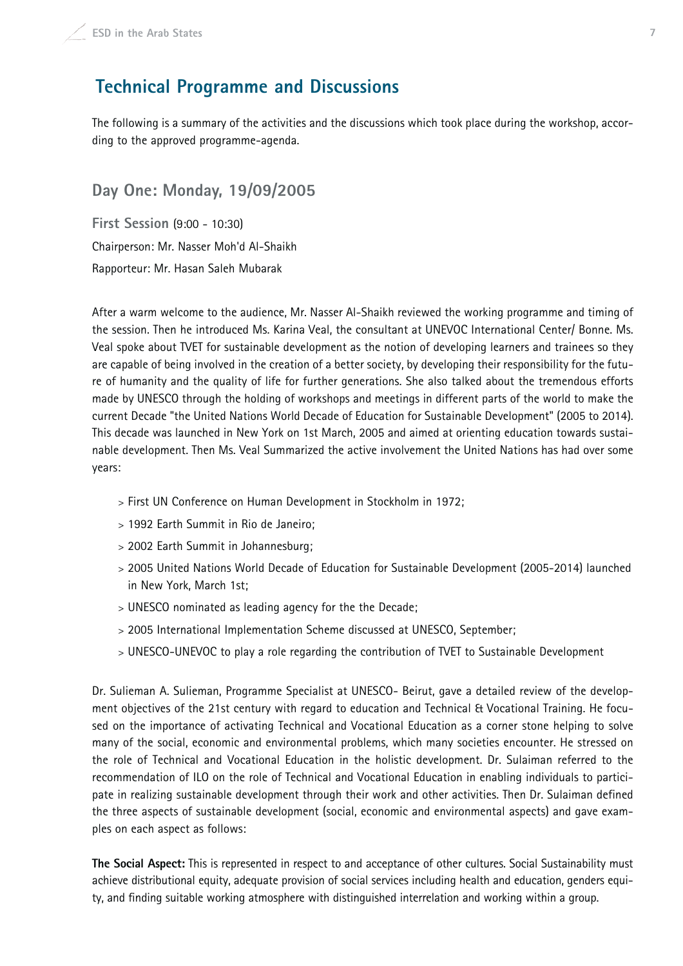# **Technical Programme and Discussions**

The following is a summary of the activities and the discussions which took place during the workshop, according to the approved programme-agenda.

**Day One: Monday, 19/09/2005**

**First Session** (9:00 - 10:30) Chairperson: Mr. Nasser Moh'd Al-Shaikh Rapporteur: Mr. Hasan Saleh Mubarak

After a warm welcome to the audience, Mr. Nasser Al-Shaikh reviewed the working programme and timing of the session. Then he introduced Ms. Karina Veal, the consultant at UNEVOC International Center/ Bonne. Ms. Veal spoke about TVET for sustainable development as the notion of developing learners and trainees so they are capable of being involved in the creation of a better society, by developing their responsibility for the future of humanity and the quality of life for further generations. She also talked about the tremendous efforts made by UNESCO through the holding of workshops and meetings in different parts of the world to make the current Decade "the United Nations World Decade of Education for Sustainable Development" (2005 to 2014). This decade was launched in New York on 1st March, 2005 and aimed at orienting education towards sustainable development. Then Ms. Veal Summarized the active involvement the United Nations has had over some years:

- > First UN Conference on Human Development in Stockholm in 1972;
- > 1992 Earth Summit in Rio de Janeiro;
- > 2002 Earth Summit in Johannesburg;
- > 2005 United Nations World Decade of Education for Sustainable Development (2005-2014) launched in New York, March 1st;
- > UNESCO nominated as leading agency for the the Decade;
- > 2005 International Implementation Scheme discussed at UNESCO, September;
- > UNESCO-UNEVOC to play a role regarding the contribution of TVET to Sustainable Development

Dr. Sulieman A. Sulieman, Programme Specialist at UNESCO- Beirut, gave a detailed review of the development objectives of the 21st century with regard to education and Technical & Vocational Training. He focused on the importance of activating Technical and Vocational Education as a corner stone helping to solve many of the social, economic and environmental problems, which many societies encounter. He stressed on the role of Technical and Vocational Education in the holistic development. Dr. Sulaiman referred to the recommendation of ILO on the role of Technical and Vocational Education in enabling individuals to participate in realizing sustainable development through their work and other activities. Then Dr. Sulaiman defined the three aspects of sustainable development (social, economic and environmental aspects) and gave examples on each aspect as follows:

**The Social Aspect:** This is represented in respect to and acceptance of other cultures. Social Sustainability must achieve distributional equity, adequate provision of social services including health and education, genders equity, and finding suitable working atmosphere with distinguished interrelation and working within a group.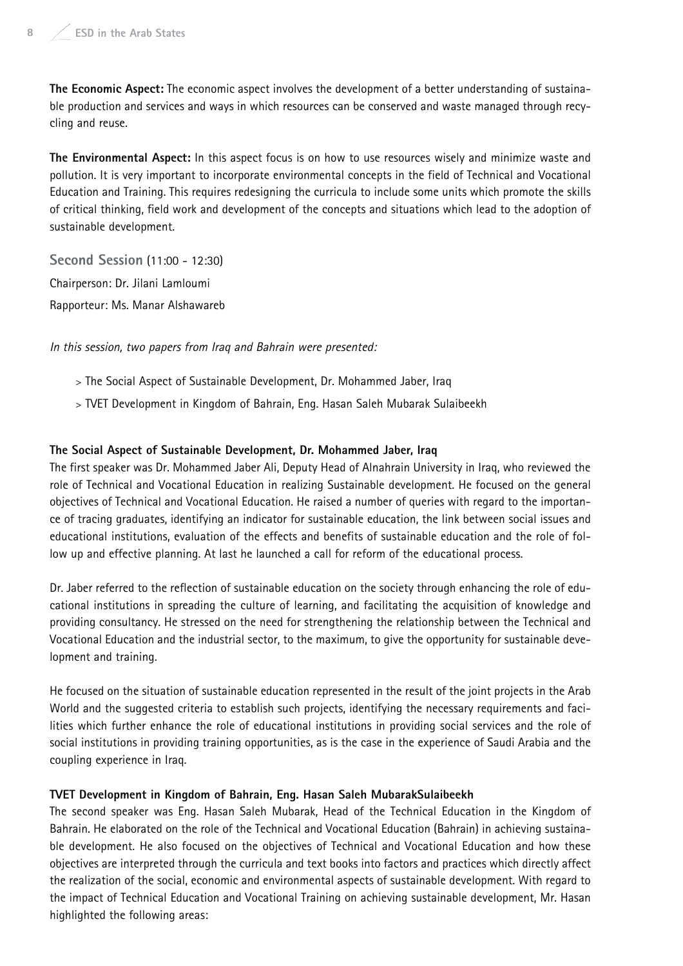**The Economic Aspect:** The economic aspect involves the development of a better understanding of sustainable production and services and ways in which resources can be conserved and waste managed through recycling and reuse.

**The Environmental Aspect:** In this aspect focus is on how to use resources wisely and minimize waste and pollution. It is very important to incorporate environmental concepts in the field of Technical and Vocational Education and Training. This requires redesigning the curricula to include some units which promote the skills of critical thinking, field work and development of the concepts and situations which lead to the adoption of sustainable development.

**Second Session** (11:00 - 12:30) Chairperson: Dr. Jilani Lamloumi Rapporteur: Ms. Manar Alshawareb

In this session, two papers from Iraq and Bahrain were presented:

- > The Social Aspect of Sustainable Development, Dr. Mohammed Jaber, Iraq
- > TVET Development in Kingdom of Bahrain, Eng. Hasan Saleh Mubarak Sulaibeekh

#### **The Social Aspect of Sustainable Development, Dr. Mohammed Jaber, Iraq**

The first speaker was Dr. Mohammed Jaber Ali, Deputy Head of Alnahrain University in Iraq, who reviewed the role of Technical and Vocational Education in realizing Sustainable development. He focused on the general objectives of Technical and Vocational Education. He raised a number of queries with regard to the importance of tracing graduates, identifying an indicator for sustainable education, the link between social issues and educational institutions, evaluation of the effects and benefits of sustainable education and the role of follow up and effective planning. At last he launched a call for reform of the educational process.

Dr. Jaber referred to the reflection of sustainable education on the society through enhancing the role of educational institutions in spreading the culture of learning, and facilitating the acquisition of knowledge and providing consultancy. He stressed on the need for strengthening the relationship between the Technical and Vocational Education and the industrial sector, to the maximum, to give the opportunity for sustainable development and training.

He focused on the situation of sustainable education represented in the result of the joint projects in the Arab World and the suggested criteria to establish such projects, identifying the necessary requirements and facilities which further enhance the role of educational institutions in providing social services and the role of social institutions in providing training opportunities, as is the case in the experience of Saudi Arabia and the coupling experience in Iraq.

#### **TVET Development in Kingdom of Bahrain, Eng. Hasan Saleh MubarakSulaibeekh**

The second speaker was Eng. Hasan Saleh Mubarak, Head of the Technical Education in the Kingdom of Bahrain. He elaborated on the role of the Technical and Vocational Education (Bahrain) in achieving sustainable development. He also focused on the objectives of Technical and Vocational Education and how these objectives are interpreted through the curricula and text books into factors and practices which directly affect the realization of the social, economic and environmental aspects of sustainable development. With regard to the impact of Technical Education and Vocational Training on achieving sustainable development, Mr. Hasan highlighted the following areas: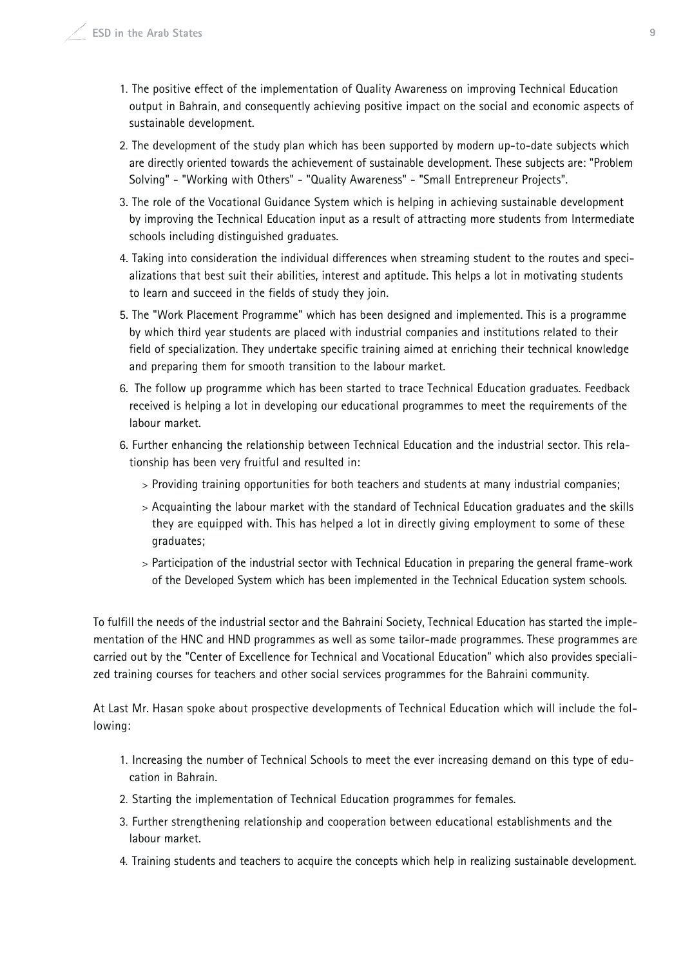- 1. The positive effect of the implementation of Quality Awareness on improving Technical Education output in Bahrain, and consequently achieving positive impact on the social and economic aspects of sustainable development.
- 2. The development of the study plan which has been supported by modern up-to-date subjects which are directly oriented towards the achievement of sustainable development. These subjects are: "Problem Solving" - "Working with Others" - "Quality Awareness" - "Small Entrepreneur Projects".
- 3. The role of the Vocational Guidance System which is helping in achieving sustainable development by improving the Technical Education input as a result of attracting more students from Intermediate schools including distinguished graduates.
- 4. Taking into consideration the individual differences when streaming student to the routes and specializations that best suit their abilities, interest and aptitude. This helps a lot in motivating students to learn and succeed in the fields of study they join.
- 5. The "Work Placement Programme" which has been designed and implemented. This is a programme by which third year students are placed with industrial companies and institutions related to their field of specialization. They undertake specific training aimed at enriching their technical knowledge and preparing them for smooth transition to the labour market.
- 6. The follow up programme which has been started to trace Technical Education graduates. Feedback received is helping a lot in developing our educational programmes to meet the requirements of the labour market.
- 6. Further enhancing the relationship between Technical Education and the industrial sector. This relationship has been very fruitful and resulted in:
	- > Providing training opportunities for both teachers and students at many industrial companies;
	- > Acquainting the labour market with the standard of Technical Education graduates and the skills they are equipped with. This has helped a lot in directly giving employment to some of these graduates;
	- > Participation of the industrial sector with Technical Education in preparing the general frame-work of the Developed System which has been implemented in the Technical Education system schools.

To fulfill the needs of the industrial sector and the Bahraini Society, Technical Education has started the implementation of the HNC and HND programmes as well as some tailor-made programmes. These programmes are carried out by the "Center of Excellence for Technical and Vocational Education" which also provides specialized training courses for teachers and other social services programmes for the Bahraini community.

At Last Mr. Hasan spoke about prospective developments of Technical Education which will include the following:

- 1. Increasing the number of Technical Schools to meet the ever increasing demand on this type of education in Bahrain.
- 2. Starting the implementation of Technical Education programmes for females.
- 3. Further strengthening relationship and cooperation between educational establishments and the labour market.
- 4. Training students and teachers to acquire the concepts which help in realizing sustainable development.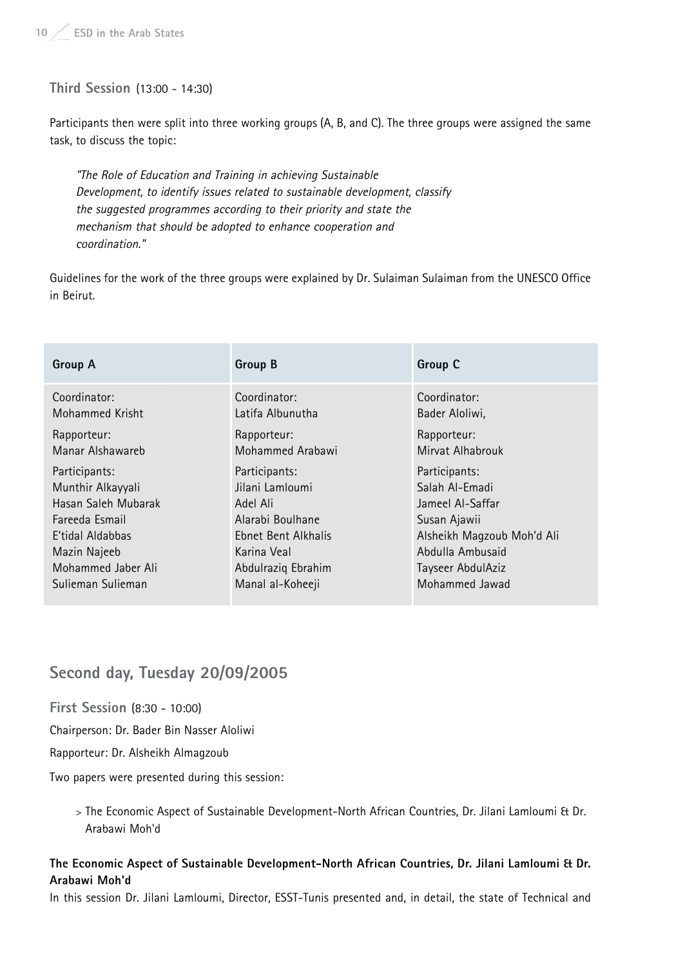### **Third Session** (13:00 - 14:30)

Participants then were split into three working groups (A, B, and C). The three groups were assigned the same task, to discuss the topic:

"The Role of Education and Training in achieving Sustainable Development, to identify issues related to sustainable development, classify the suggested programmes according to their priority and state the mechanism that should be adopted to enhance cooperation and coordination."

Guidelines for the work of the three groups were explained by Dr. Sulaiman Sulaiman from the UNESCO Office in Beirut.

| <b>Group A</b>         | <b>Group B</b>      | Group C                    |
|------------------------|---------------------|----------------------------|
| Coordinator:           | Coordinator:        | Coordinator:               |
| <b>Mohammed Krisht</b> | Latifa Albunutha    | Bader Aloliwi,             |
| Rapporteur:            | Rapporteur:         | Rapporteur:                |
| Manar Alshawareb       | Mohammed Arabawi    | Mirvat Alhabrouk           |
| Participants:          | Participants:       | Participants:              |
| Munthir Alkayyali      | Jilani Lamloumi     | Salah Al-Emadi             |
| Hasan Saleh Mubarak    | Adel Ali            | Jameel Al-Saffar           |
| Fareeda Esmail         | Alarabi Boulhane    | Susan Ajawii               |
| E'tidal Aldabbas       | Ebnet Bent Alkhalis | Alsheikh Magzoub Moh'd Ali |
| Mazin Najeeb           | Karina Veal         | Abdulla Ambusaid           |
| Mohammed Jaber Ali     | Abdulraziq Ebrahim  | Tayseer AbdulAziz          |
| Sulieman Sulieman      | Manal al-Koheeji    | Mohammed Jawad             |

### **Second day, Tuesday 20/09/2005**

**First Session** (8:30 - 10:00)

Chairperson: Dr. Bader Bin Nasser Aloliwi

Rapporteur: Dr. Alsheikh Almagzoub

Two papers were presented during this session:

> The Economic Aspect of Sustainable Development-North African Countries, Dr. Jilani Lamloumi & Dr. Arabawi Moh'd

### **The Economic Aspect of Sustainable Development-North African Countries, Dr. Jilani Lamloumi & Dr. Arabawi Moh'd**

In this session Dr. Jilani Lamloumi, Director, ESST-Tunis presented and, in detail, the state of Technical and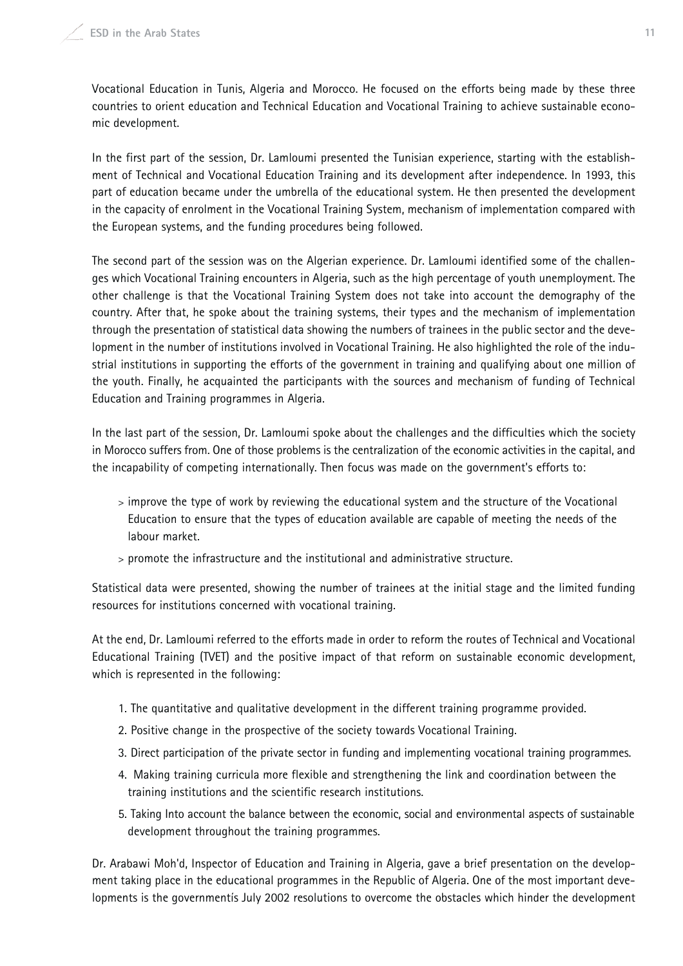Vocational Education in Tunis, Algeria and Morocco. He focused on the efforts being made by these three countries to orient education and Technical Education and Vocational Training to achieve sustainable economic development.

In the first part of the session, Dr. Lamloumi presented the Tunisian experience, starting with the establishment of Technical and Vocational Education Training and its development after independence. In 1993, this part of education became under the umbrella of the educational system. He then presented the development in the capacity of enrolment in the Vocational Training System, mechanism of implementation compared with the European systems, and the funding procedures being followed.

The second part of the session was on the Algerian experience. Dr. Lamloumi identified some of the challenges which Vocational Training encounters in Algeria, such as the high percentage of youth unemployment. The other challenge is that the Vocational Training System does not take into account the demography of the country. After that, he spoke about the training systems, their types and the mechanism of implementation through the presentation of statistical data showing the numbers of trainees in the public sector and the development in the number of institutions involved in Vocational Training. He also highlighted the role of the industrial institutions in supporting the efforts of the government in training and qualifying about one million of the youth. Finally, he acquainted the participants with the sources and mechanism of funding of Technical Education and Training programmes in Algeria.

In the last part of the session, Dr. Lamloumi spoke about the challenges and the difficulties which the society in Morocco suffers from. One of those problems is the centralization of the economic activities in the capital, and the incapability of competing internationally. Then focus was made on the government's efforts to:

- > improve the type of work by reviewing the educational system and the structure of the Vocational Education to ensure that the types of education available are capable of meeting the needs of the labour market.
- > promote the infrastructure and the institutional and administrative structure.

Statistical data were presented, showing the number of trainees at the initial stage and the limited funding resources for institutions concerned with vocational training.

At the end, Dr. Lamloumi referred to the efforts made in order to reform the routes of Technical and Vocational Educational Training (TVET) and the positive impact of that reform on sustainable economic development, which is represented in the following:

- 1. The quantitative and qualitative development in the different training programme provided.
- 2. Positive change in the prospective of the society towards Vocational Training.
- 3. Direct participation of the private sector in funding and implementing vocational training programmes.
- 4. Making training curricula more flexible and strengthening the link and coordination between the training institutions and the scientific research institutions.
- 5. Taking Into account the balance between the economic, social and environmental aspects of sustainable development throughout the training programmes.

Dr. Arabawi Moh'd, Inspector of Education and Training in Algeria, gave a brief presentation on the development taking place in the educational programmes in the Republic of Algeria. One of the most important developments is the governmentís July 2002 resolutions to overcome the obstacles which hinder the development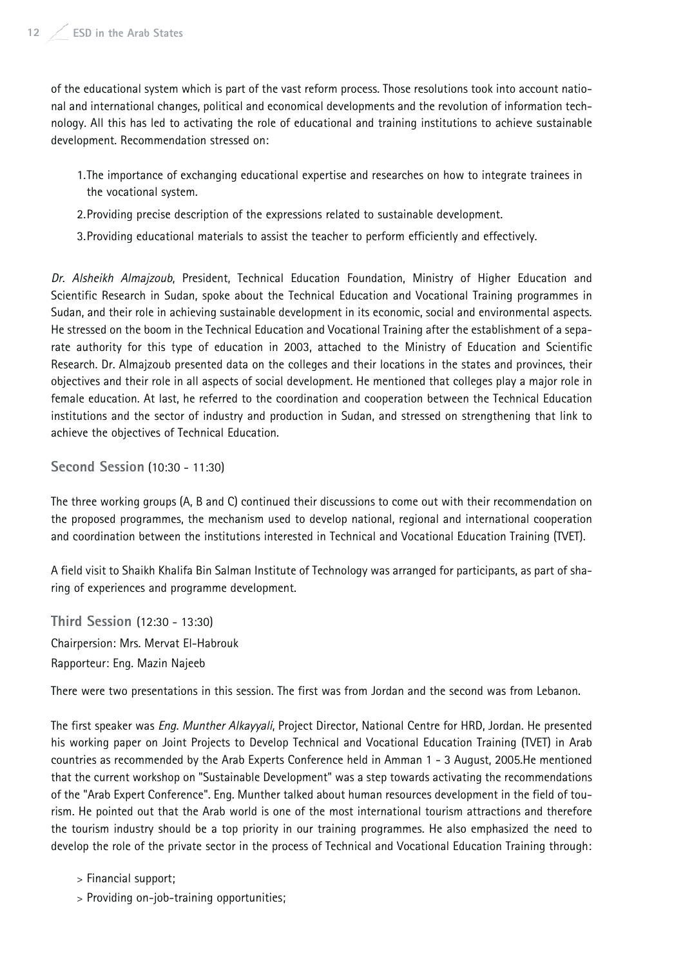of the educational system which is part of the vast reform process. Those resolutions took into account national and international changes, political and economical developments and the revolution of information technology. All this has led to activating the role of educational and training institutions to achieve sustainable development. Recommendation stressed on:

- 1.The importance of exchanging educational expertise and researches on how to integrate trainees in the vocational system.
- 2.Providing precise description of the expressions related to sustainable development.
- 3.Providing educational materials to assist the teacher to perform efficiently and effectively.

Dr. Alsheikh Almajzoub, President, Technical Education Foundation, Ministry of Higher Education and Scientific Research in Sudan, spoke about the Technical Education and Vocational Training programmes in Sudan, and their role in achieving sustainable development in its economic, social and environmental aspects. He stressed on the boom in the Technical Education and Vocational Training after the establishment of a separate authority for this type of education in 2003, attached to the Ministry of Education and Scientific Research. Dr. Almajzoub presented data on the colleges and their locations in the states and provinces, their objectives and their role in all aspects of social development. He mentioned that colleges play a major role in female education. At last, he referred to the coordination and cooperation between the Technical Education institutions and the sector of industry and production in Sudan, and stressed on strengthening that link to achieve the objectives of Technical Education.

**Second Session** (10:30 - 11:30)

The three working groups (A, B and C) continued their discussions to come out with their recommendation on the proposed programmes, the mechanism used to develop national, regional and international cooperation and coordination between the institutions interested in Technical and Vocational Education Training (TVET).

A field visit to Shaikh Khalifa Bin Salman Institute of Technology was arranged for participants, as part of sharing of experiences and programme development.

**Third Session** (12:30 - 13:30) Chairpersion: Mrs. Mervat El-Habrouk Rapporteur: Eng. Mazin Najeeb

There were two presentations in this session. The first was from Jordan and the second was from Lebanon.

The first speaker was Eng. Munther Alkayyali, Project Director, National Centre for HRD, Jordan. He presented his working paper on Joint Projects to Develop Technical and Vocational Education Training (TVET) in Arab countries as recommended by the Arab Experts Conference held in Amman 1 - 3 August, 2005.He mentioned that the current workshop on "Sustainable Development" was a step towards activating the recommendations of the "Arab Expert Conference". Eng. Munther talked about human resources development in the field of tourism. He pointed out that the Arab world is one of the most international tourism attractions and therefore the tourism industry should be a top priority in our training programmes. He also emphasized the need to develop the role of the private sector in the process of Technical and Vocational Education Training through:

- > Financial support;
- > Providing on-job-training opportunities;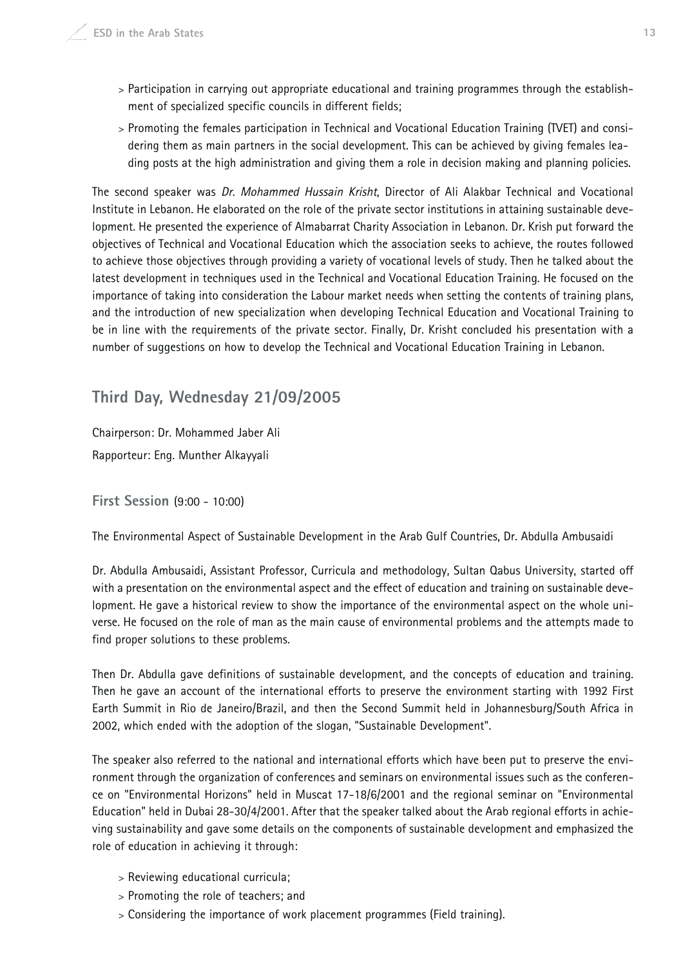- > Participation in carrying out appropriate educational and training programmes through the establishment of specialized specific councils in different fields;
- > Promoting the females participation in Technical and Vocational Education Training (TVET) and considering them as main partners in the social development. This can be achieved by giving females leading posts at the high administration and giving them a role in decision making and planning policies.

The second speaker was Dr. Mohammed Hussain Krisht, Director of Ali Alakbar Technical and Vocational Institute in Lebanon. He elaborated on the role of the private sector institutions in attaining sustainable development. He presented the experience of Almabarrat Charity Association in Lebanon. Dr. Krish put forward the objectives of Technical and Vocational Education which the association seeks to achieve, the routes followed to achieve those objectives through providing a variety of vocational levels of study. Then he talked about the latest development in techniques used in the Technical and Vocational Education Training. He focused on the importance of taking into consideration the Labour market needs when setting the contents of training plans, and the introduction of new specialization when developing Technical Education and Vocational Training to be in line with the requirements of the private sector. Finally, Dr. Krisht concluded his presentation with a number of suggestions on how to develop the Technical and Vocational Education Training in Lebanon.

### **Third Day, Wednesday 21/09/2005**

Chairperson: Dr. Mohammed Jaber Ali Rapporteur: Eng. Munther Alkayyali

**First Session** (9:00 - 10:00)

The Environmental Aspect of Sustainable Development in the Arab Gulf Countries, Dr. Abdulla Ambusaidi

Dr. Abdulla Ambusaidi, Assistant Professor, Curricula and methodology, Sultan Qabus University, started off with a presentation on the environmental aspect and the effect of education and training on sustainable development. He gave a historical review to show the importance of the environmental aspect on the whole universe. He focused on the role of man as the main cause of environmental problems and the attempts made to find proper solutions to these problems.

Then Dr. Abdulla gave definitions of sustainable development, and the concepts of education and training. Then he gave an account of the international efforts to preserve the environment starting with 1992 First Earth Summit in Rio de Janeiro/Brazil, and then the Second Summit held in Johannesburg/South Africa in 2002, which ended with the adoption of the slogan, "Sustainable Development".

The speaker also referred to the national and international efforts which have been put to preserve the environment through the organization of conferences and seminars on environmental issues such as the conference on "Environmental Horizons" held in Muscat 17-18/6/2001 and the regional seminar on "Environmental Education" held in Dubai 28-30/4/2001. After that the speaker talked about the Arab regional efforts in achieving sustainability and gave some details on the components of sustainable development and emphasized the role of education in achieving it through:

- > Reviewing educational curricula;
- > Promoting the role of teachers; and
- > Considering the importance of work placement programmes (Field training).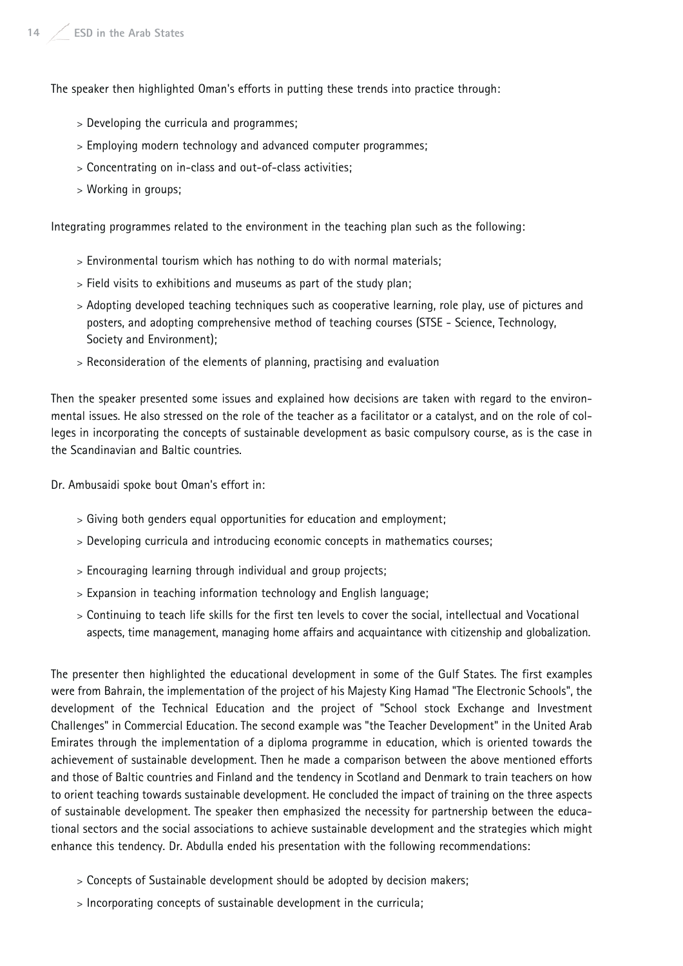The speaker then highlighted Oman's efforts in putting these trends into practice through:

- > Developing the curricula and programmes;
- > Employing modern technology and advanced computer programmes;
- > Concentrating on in-class and out-of-class activities;
- > Working in groups;

Integrating programmes related to the environment in the teaching plan such as the following:

- > Environmental tourism which has nothing to do with normal materials;
- > Field visits to exhibitions and museums as part of the study plan;
- > Adopting developed teaching techniques such as cooperative learning, role play, use of pictures and posters, and adopting comprehensive method of teaching courses (STSE - Science, Technology, Society and Environment);
- > Reconsideration of the elements of planning, practising and evaluation

Then the speaker presented some issues and explained how decisions are taken with regard to the environmental issues. He also stressed on the role of the teacher as a facilitator or a catalyst, and on the role of colleges in incorporating the concepts of sustainable development as basic compulsory course, as is the case in the Scandinavian and Baltic countries.

Dr. Ambusaidi spoke bout Oman's effort in:

- > Giving both genders equal opportunities for education and employment;
- > Developing curricula and introducing economic concepts in mathematics courses;
- > Encouraging learning through individual and group projects;
- > Expansion in teaching information technology and English language;
- > Continuing to teach life skills for the first ten levels to cover the social, intellectual and Vocational aspects, time management, managing home affairs and acquaintance with citizenship and globalization.

The presenter then highlighted the educational development in some of the Gulf States. The first examples were from Bahrain, the implementation of the project of his Majesty King Hamad "The Electronic Schools", the development of the Technical Education and the project of "School stock Exchange and Investment Challenges" in Commercial Education. The second example was "the Teacher Development" in the United Arab Emirates through the implementation of a diploma programme in education, which is oriented towards the achievement of sustainable development. Then he made a comparison between the above mentioned efforts and those of Baltic countries and Finland and the tendency in Scotland and Denmark to train teachers on how to orient teaching towards sustainable development. He concluded the impact of training on the three aspects of sustainable development. The speaker then emphasized the necessity for partnership between the educational sectors and the social associations to achieve sustainable development and the strategies which might enhance this tendency. Dr. Abdulla ended his presentation with the following recommendations:

- > Concepts of Sustainable development should be adopted by decision makers;
- > Incorporating concepts of sustainable development in the curricula;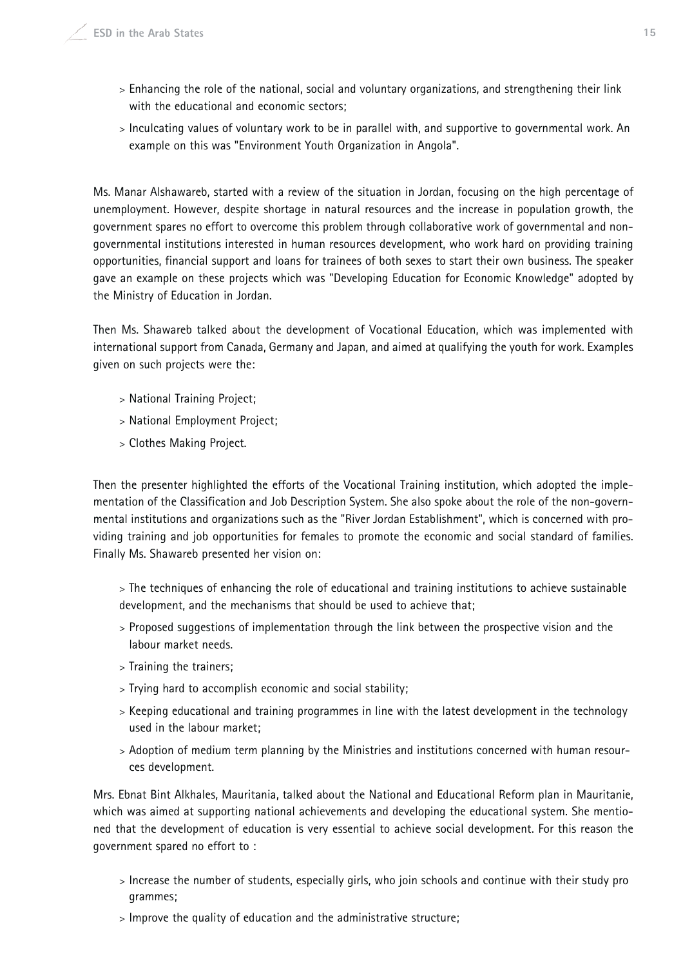- > Enhancing the role of the national, social and voluntary organizations, and strengthening their link with the educational and economic sectors:
- > Inculcating values of voluntary work to be in parallel with, and supportive to governmental work. An example on this was "Environment Youth Organization in Angola".

Ms. Manar Alshawareb, started with a review of the situation in Jordan, focusing on the high percentage of unemployment. However, despite shortage in natural resources and the increase in population growth, the government spares no effort to overcome this problem through collaborative work of governmental and nongovernmental institutions interested in human resources development, who work hard on providing training opportunities, financial support and loans for trainees of both sexes to start their own business. The speaker gave an example on these projects which was "Developing Education for Economic Knowledge" adopted by the Ministry of Education in Jordan.

Then Ms. Shawareb talked about the development of Vocational Education, which was implemented with international support from Canada, Germany and Japan, and aimed at qualifying the youth for work. Examples given on such projects were the:

- > National Training Project;
- > National Employment Project;
- > Clothes Making Project.

Then the presenter highlighted the efforts of the Vocational Training institution, which adopted the implementation of the Classification and Job Description System. She also spoke about the role of the non-governmental institutions and organizations such as the "River Jordan Establishment", which is concerned with providing training and job opportunities for females to promote the economic and social standard of families. Finally Ms. Shawareb presented her vision on:

> The techniques of enhancing the role of educational and training institutions to achieve sustainable development, and the mechanisms that should be used to achieve that;

- > Proposed suggestions of implementation through the link between the prospective vision and the labour market needs.
- > Training the trainers;
- > Trying hard to accomplish economic and social stability;
- > Keeping educational and training programmes in line with the latest development in the technology used in the labour market;
- > Adoption of medium term planning by the Ministries and institutions concerned with human resources development.

Mrs. Ebnat Bint Alkhales, Mauritania, talked about the National and Educational Reform plan in Mauritanie, which was aimed at supporting national achievements and developing the educational system. She mentioned that the development of education is very essential to achieve social development. For this reason the government spared no effort to :

- > Increase the number of students, especially girls, who join schools and continue with their study pro grammes;
- > Improve the quality of education and the administrative structure;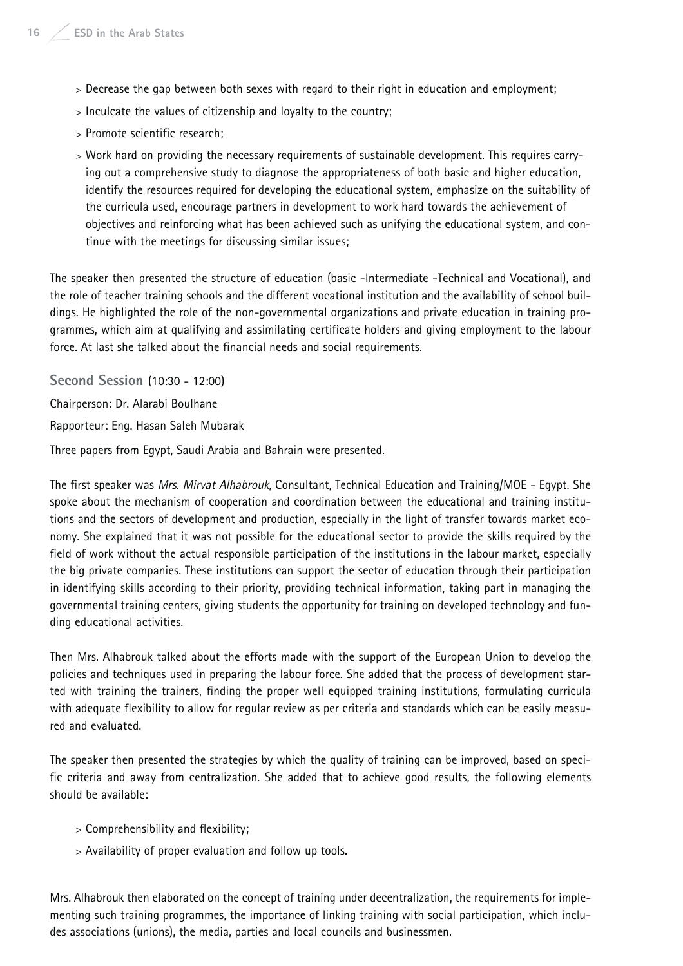- > Decrease the gap between both sexes with regard to their right in education and employment;
- > Inculcate the values of citizenship and loyalty to the country;
- > Promote scientific research;
- > Work hard on providing the necessary requirements of sustainable development. This requires carrying out a comprehensive study to diagnose the appropriateness of both basic and higher education, identify the resources required for developing the educational system, emphasize on the suitability of the curricula used, encourage partners in development to work hard towards the achievement of objectives and reinforcing what has been achieved such as unifying the educational system, and continue with the meetings for discussing similar issues;

The speaker then presented the structure of education (basic -Intermediate -Technical and Vocational), and the role of teacher training schools and the different vocational institution and the availability of school buildings. He highlighted the role of the non-governmental organizations and private education in training programmes, which aim at qualifying and assimilating certificate holders and giving employment to the labour force. At last she talked about the financial needs and social requirements.

**Second Session** (10:30 - 12:00)

Chairperson: Dr. Alarabi Boulhane

Rapporteur: Eng. Hasan Saleh Mubarak

Three papers from Egypt, Saudi Arabia and Bahrain were presented.

The first speaker was Mrs. Mirvat Alhabrouk, Consultant, Technical Education and Training/MOE - Egypt. She spoke about the mechanism of cooperation and coordination between the educational and training institutions and the sectors of development and production, especially in the light of transfer towards market economy. She explained that it was not possible for the educational sector to provide the skills required by the field of work without the actual responsible participation of the institutions in the labour market, especially the big private companies. These institutions can support the sector of education through their participation in identifying skills according to their priority, providing technical information, taking part in managing the governmental training centers, giving students the opportunity for training on developed technology and funding educational activities.

Then Mrs. Alhabrouk talked about the efforts made with the support of the European Union to develop the policies and techniques used in preparing the labour force. She added that the process of development started with training the trainers, finding the proper well equipped training institutions, formulating curricula with adequate flexibility to allow for regular review as per criteria and standards which can be easily measured and evaluated.

The speaker then presented the strategies by which the quality of training can be improved, based on specific criteria and away from centralization. She added that to achieve good results, the following elements should be available:

- > Comprehensibility and flexibility;
- > Availability of proper evaluation and follow up tools.

Mrs. Alhabrouk then elaborated on the concept of training under decentralization, the requirements for implementing such training programmes, the importance of linking training with social participation, which includes associations (unions), the media, parties and local councils and businessmen.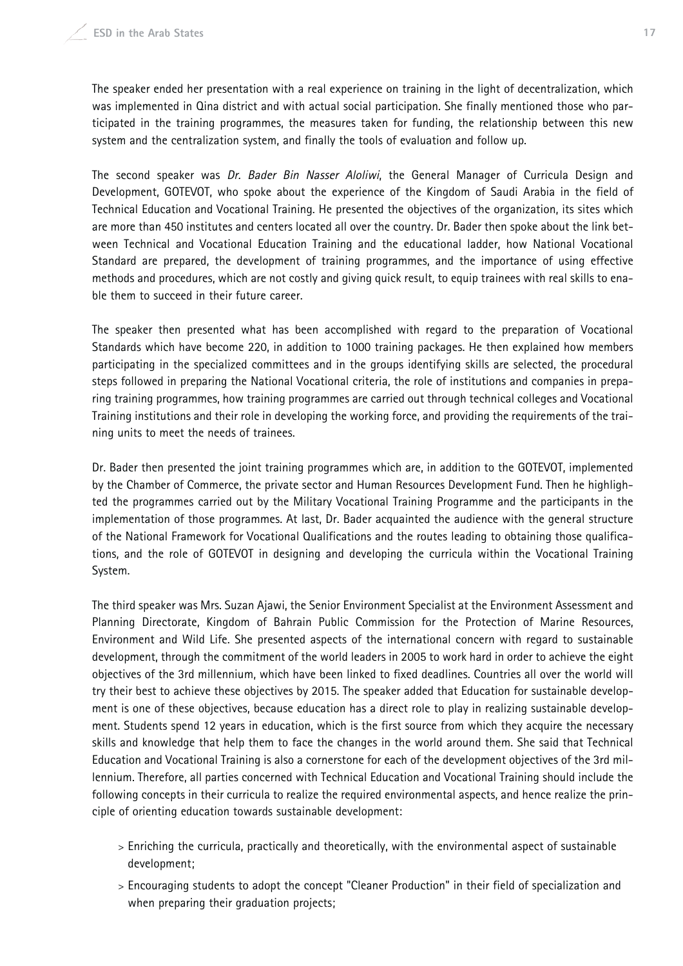The speaker ended her presentation with a real experience on training in the light of decentralization, which was implemented in Qina district and with actual social participation. She finally mentioned those who participated in the training programmes, the measures taken for funding, the relationship between this new system and the centralization system, and finally the tools of evaluation and follow up.

The second speaker was Dr. Bader Bin Nasser Aloliwi, the General Manager of Curricula Design and Development, GOTEVOT, who spoke about the experience of the Kingdom of Saudi Arabia in the field of Technical Education and Vocational Training. He presented the objectives of the organization, its sites which are more than 450 institutes and centers located all over the country. Dr. Bader then spoke about the link between Technical and Vocational Education Training and the educational ladder, how National Vocational Standard are prepared, the development of training programmes, and the importance of using effective methods and procedures, which are not costly and giving quick result, to equip trainees with real skills to enable them to succeed in their future career.

The speaker then presented what has been accomplished with regard to the preparation of Vocational Standards which have become 220, in addition to 1000 training packages. He then explained how members participating in the specialized committees and in the groups identifying skills are selected, the procedural steps followed in preparing the National Vocational criteria, the role of institutions and companies in preparing training programmes, how training programmes are carried out through technical colleges and Vocational Training institutions and their role in developing the working force, and providing the requirements of the training units to meet the needs of trainees.

Dr. Bader then presented the joint training programmes which are, in addition to the GOTEVOT, implemented by the Chamber of Commerce, the private sector and Human Resources Development Fund. Then he highlighted the programmes carried out by the Military Vocational Training Programme and the participants in the implementation of those programmes. At last, Dr. Bader acquainted the audience with the general structure of the National Framework for Vocational Qualifications and the routes leading to obtaining those qualifications, and the role of GOTEVOT in designing and developing the curricula within the Vocational Training System.

The third speaker was Mrs. Suzan Ajawi, the Senior Environment Specialist at the Environment Assessment and Planning Directorate, Kingdom of Bahrain Public Commission for the Protection of Marine Resources, Environment and Wild Life. She presented aspects of the international concern with regard to sustainable development, through the commitment of the world leaders in 2005 to work hard in order to achieve the eight objectives of the 3rd millennium, which have been linked to fixed deadlines. Countries all over the world will try their best to achieve these objectives by 2015. The speaker added that Education for sustainable development is one of these objectives, because education has a direct role to play in realizing sustainable development. Students spend 12 years in education, which is the first source from which they acquire the necessary skills and knowledge that help them to face the changes in the world around them. She said that Technical Education and Vocational Training is also a cornerstone for each of the development objectives of the 3rd millennium. Therefore, all parties concerned with Technical Education and Vocational Training should include the following concepts in their curricula to realize the required environmental aspects, and hence realize the principle of orienting education towards sustainable development:

- > Enriching the curricula, practically and theoretically, with the environmental aspect of sustainable development;
- > Encouraging students to adopt the concept "Cleaner Production" in their field of specialization and when preparing their graduation projects;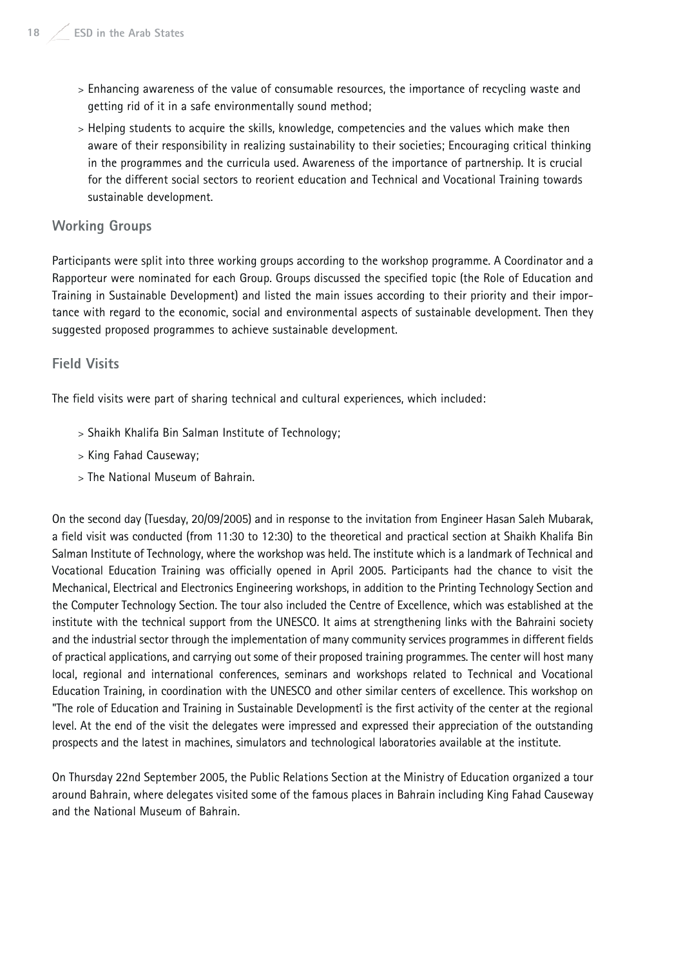- > Enhancing awareness of the value of consumable resources, the importance of recycling waste and getting rid of it in a safe environmentally sound method;
- > Helping students to acquire the skills, knowledge, competencies and the values which make then aware of their responsibility in realizing sustainability to their societies; Encouraging critical thinking in the programmes and the curricula used. Awareness of the importance of partnership. It is crucial for the different social sectors to reorient education and Technical and Vocational Training towards sustainable development.

#### **Working Groups**

Participants were split into three working groups according to the workshop programme. A Coordinator and a Rapporteur were nominated for each Group. Groups discussed the specified topic (the Role of Education and Training in Sustainable Development) and listed the main issues according to their priority and their importance with regard to the economic, social and environmental aspects of sustainable development. Then they suggested proposed programmes to achieve sustainable development.

#### **Field Visits**

The field visits were part of sharing technical and cultural experiences, which included:

- > Shaikh Khalifa Bin Salman Institute of Technology;
- > King Fahad Causeway;
- > The National Museum of Bahrain.

On the second day (Tuesday, 20/09/2005) and in response to the invitation from Engineer Hasan Saleh Mubarak, a field visit was conducted (from 11:30 to 12:30) to the theoretical and practical section at Shaikh Khalifa Bin Salman Institute of Technology, where the workshop was held. The institute which is a landmark of Technical and Vocational Education Training was officially opened in April 2005. Participants had the chance to visit the Mechanical, Electrical and Electronics Engineering workshops, in addition to the Printing Technology Section and the Computer Technology Section. The tour also included the Centre of Excellence, which was established at the institute with the technical support from the UNESCO. It aims at strengthening links with the Bahraini society and the industrial sector through the implementation of many community services programmes in different fields of practical applications, and carrying out some of their proposed training programmes. The center will host many local, regional and international conferences, seminars and workshops related to Technical and Vocational Education Training, in coordination with the UNESCO and other similar centers of excellence. This workshop on "The role of Education and Training in Sustainable Developmentî is the first activity of the center at the regional level. At the end of the visit the delegates were impressed and expressed their appreciation of the outstanding prospects and the latest in machines, simulators and technological laboratories available at the institute.

On Thursday 22nd September 2005, the Public Relations Section at the Ministry of Education organized a tour around Bahrain, where delegates visited some of the famous places in Bahrain including King Fahad Causeway and the National Museum of Bahrain.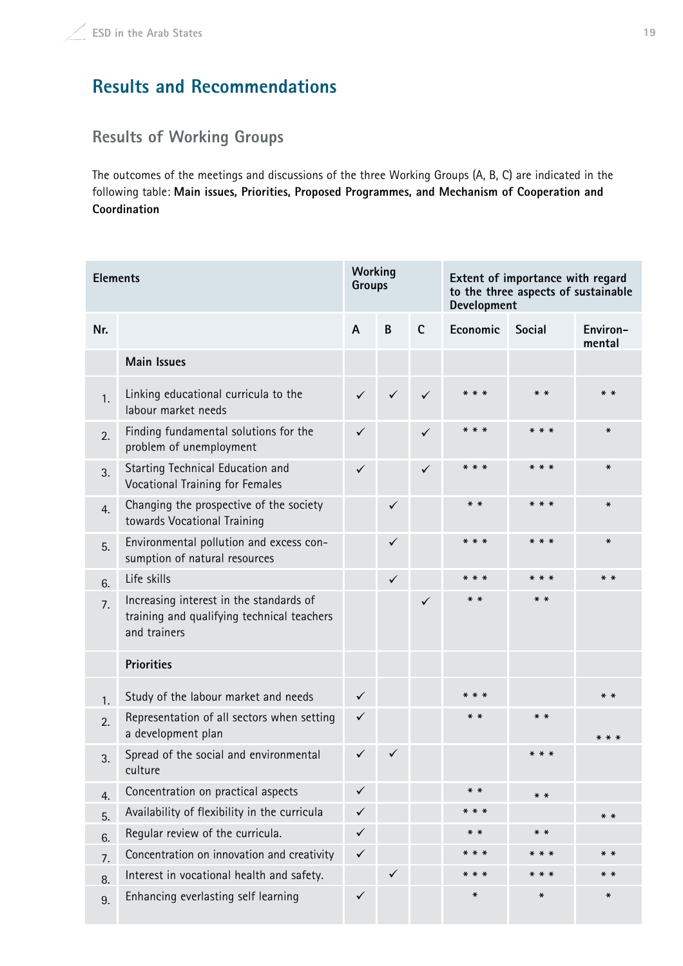# **Results and Recommendations**

# **Results of Working Groups**

The outcomes of the meetings and discussions of the three Working Groups (A, B, C) are indicated in the following table: Main issues, Priorities, Proposed Programmes, and Mechanism of Cooperation and Coordination

| <b>Elements</b> |                                                                                                       | <b>Working</b><br><b>Groups</b> |              |              | Development  | Extent of importance with regard<br>to the three aspects of sustainable |                    |
|-----------------|-------------------------------------------------------------------------------------------------------|---------------------------------|--------------|--------------|--------------|-------------------------------------------------------------------------|--------------------|
| Nr.             |                                                                                                       | A                               | B            | $\mathbf{C}$ | Economic     | Social                                                                  | Environ-<br>mental |
|                 | <b>Main Issues</b>                                                                                    |                                 |              |              |              |                                                                         |                    |
| 1.              | Linking educational curricula to the<br>labour market needs                                           | $\checkmark$                    | ✓            | $\checkmark$ | * * *        | $* *$                                                                   | $* *$              |
| 2.              | Finding fundamental solutions for the<br>problem of unemployment                                      | $\checkmark$                    |              | $\checkmark$ | $* * *$      | $* * *$                                                                 | $\pmb{\ast}$       |
| 3.              | Starting Technical Education and<br>Vocational Training for Females                                   | $\checkmark$                    |              | $\checkmark$ | * * *        | $* * *$                                                                 | $\pmb{\ast}$       |
| 4.              | Changing the prospective of the society<br>towards Vocational Training                                |                                 | $\checkmark$ |              | $* *$        | $***$                                                                   | $\star$            |
| 5.              | Environmental pollution and excess con-<br>sumption of natural resources                              |                                 | $\checkmark$ |              | $* * *$      | * * *                                                                   | $\ast$             |
| 6.              | Life skills                                                                                           |                                 | $\checkmark$ |              | $***$        | $* * *$                                                                 | $* *$              |
| 7.              | Increasing interest in the standards of<br>training and qualifying technical teachers<br>and trainers |                                 |              | ✓            | $* *$        | $* *$                                                                   |                    |
|                 | <b>Priorities</b>                                                                                     |                                 |              |              |              |                                                                         |                    |
| 1.              | Study of the labour market and needs                                                                  | $\checkmark$                    |              |              | $* * *$      |                                                                         | $* *$              |
| 2.              | Representation of all sectors when setting<br>a development plan                                      | $\checkmark$                    |              |              | $* *$        | $* *$                                                                   | $* * *$            |
| 3.              | Spread of the social and environmental<br>culture                                                     | ✓                               | ✓            |              |              | $* * *$                                                                 |                    |
| 4.              | Concentration on practical aspects                                                                    | $\checkmark$                    |              |              | $* *$        | $* *$                                                                   |                    |
| 5.              | Availability of flexibility in the curricula                                                          | $\checkmark$                    |              |              | * * *        |                                                                         | $* *$              |
| 6.              | Regular review of the curricula.                                                                      | $\checkmark$                    |              |              | $\ast\ast$   | $* *$                                                                   |                    |
| 7.              | Concentration on innovation and creativity                                                            | $\checkmark$                    |              |              | $***$        | $* * *$                                                                 | $* *$              |
| 8.              | Interest in vocational health and safety.                                                             |                                 | $\checkmark$ |              | * * *        | * * *                                                                   | $* *$              |
| 9.              | Enhancing everlasting self learning                                                                   | $\checkmark$                    |              |              | $\pmb{\ast}$ | $\pmb{\ast}$                                                            | $\pmb{\ast}$       |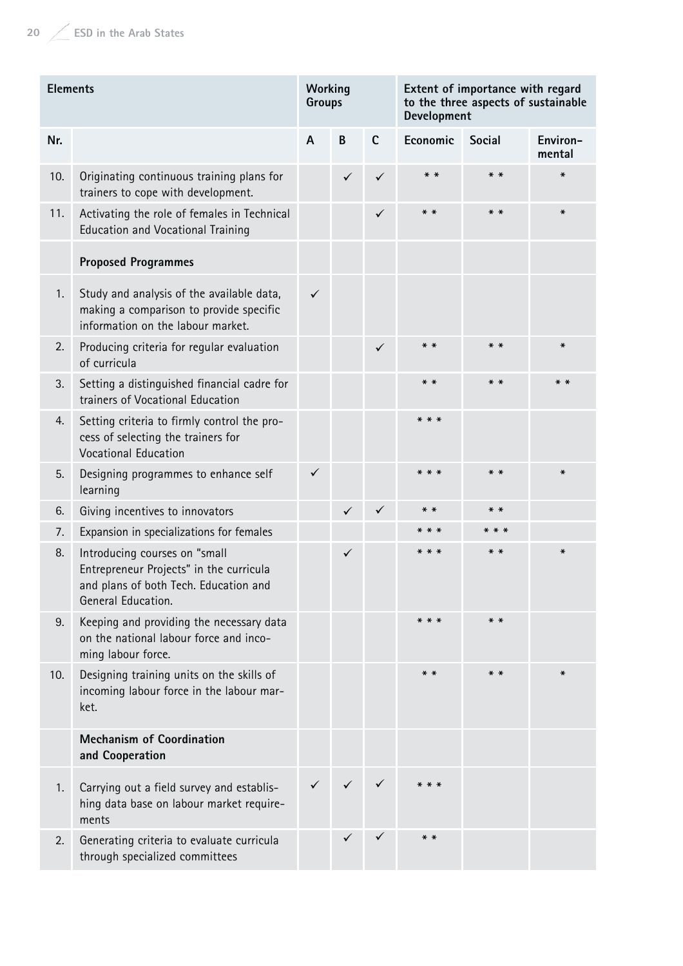| <b>Elements</b> |                                                                                                                                         | <b>Working</b><br><b>Groups</b> |              | Extent of importance with regard<br>to the three aspects of sustainable<br>Development |                 |         |                    |
|-----------------|-----------------------------------------------------------------------------------------------------------------------------------------|---------------------------------|--------------|----------------------------------------------------------------------------------------|-----------------|---------|--------------------|
| Nr.             |                                                                                                                                         | $\mathsf{A}$                    | B            | $\mathsf{C}$                                                                           | <b>Economic</b> | Social  | Environ-<br>mental |
| 10.             | Originating continuous training plans for<br>trainers to cope with development.                                                         |                                 | $\checkmark$ | $\checkmark$                                                                           | $* *$           | $* *$   | $\star$            |
| 11.             | Activating the role of females in Technical<br><b>Education and Vocational Training</b>                                                 |                                 |              | $\checkmark$                                                                           | $* *$           | $* *$   | $\star$            |
|                 | <b>Proposed Programmes</b>                                                                                                              |                                 |              |                                                                                        |                 |         |                    |
| 1.              | Study and analysis of the available data,<br>making a comparison to provide specific<br>information on the labour market.               | $\checkmark$                    |              |                                                                                        |                 |         |                    |
| 2.              | Producing criteria for regular evaluation<br>of curricula                                                                               |                                 |              | $\checkmark$                                                                           | $* *$           | $* *$   | $\star$            |
| 3.              | Setting a distinguished financial cadre for<br>trainers of Vocational Education                                                         |                                 |              |                                                                                        | $* *$           | $* *$   | $* *$              |
| 4.              | Setting criteria to firmly control the pro-<br>cess of selecting the trainers for<br><b>Vocational Education</b>                        |                                 |              |                                                                                        | $* * *$         |         |                    |
| 5.              | Designing programmes to enhance self<br>learning                                                                                        | $\checkmark$                    |              |                                                                                        | $***$           | $* *$   | $\star$            |
| 6.              | Giving incentives to innovators                                                                                                         |                                 | $\checkmark$ | $\checkmark$                                                                           | $* *$           | $* *$   |                    |
| 7.              | Expansion in specializations for females                                                                                                |                                 |              |                                                                                        | $* * *$         | $* * *$ |                    |
| 8.              | Introducing courses on "small<br>Entrepreneur Projects" in the curricula<br>and plans of both Tech. Education and<br>General Education. |                                 | $\checkmark$ |                                                                                        | * * *           | $* *$   | $\star$            |
| 9.              | Keeping and providing the necessary data<br>on the national labour force and inco-<br>ming labour force.                                |                                 |              |                                                                                        | * * *           | $* *$   |                    |
| 10.             | Designing training units on the skills of<br>incoming labour force in the labour mar-<br>ket.                                           |                                 |              |                                                                                        | $* *$           | $* *$   | $\ast$             |
|                 | <b>Mechanism of Coordination</b><br>and Cooperation                                                                                     |                                 |              |                                                                                        |                 |         |                    |
| 1.              | Carrying out a field survey and establis-<br>hing data base on labour market require-<br>ments                                          | $\checkmark$                    | ✓            | $\checkmark$                                                                           | $* * *$         |         |                    |
| 2.              | Generating criteria to evaluate curricula<br>through specialized committees                                                             |                                 |              | ✓                                                                                      | $* *$           |         |                    |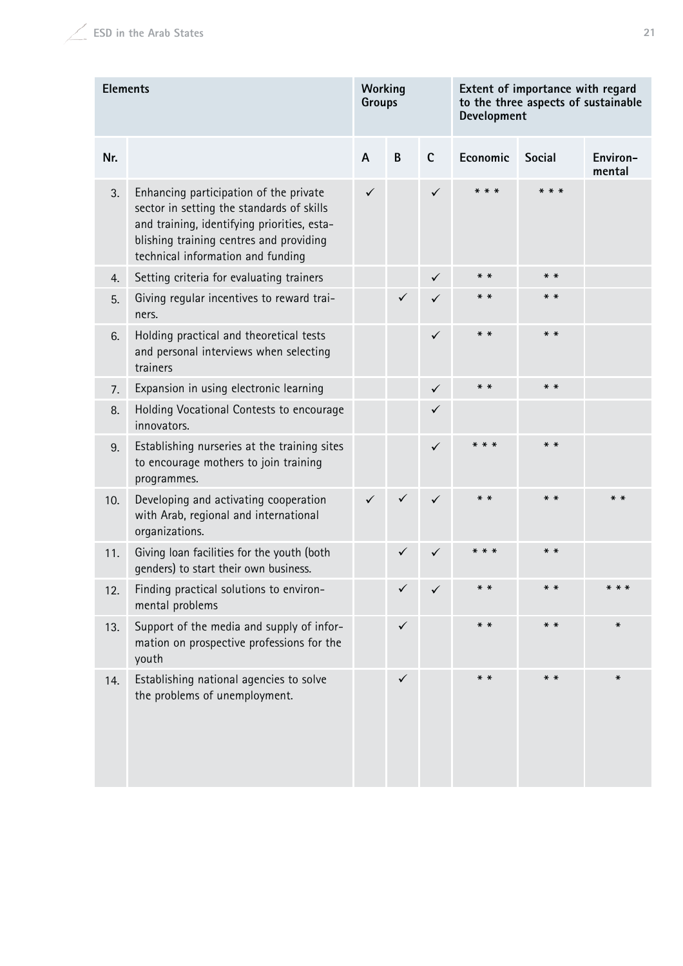| <b>Elements</b> |                                                                                                                                                                                                                    | Working<br><b>Groups</b> |              | Extent of importance with regard<br>to the three aspects of sustainable<br>Development |          |         |                    |
|-----------------|--------------------------------------------------------------------------------------------------------------------------------------------------------------------------------------------------------------------|--------------------------|--------------|----------------------------------------------------------------------------------------|----------|---------|--------------------|
| Nr.             |                                                                                                                                                                                                                    | A                        | B            | $\mathbf{C}$                                                                           | Economic | Social  | Environ-<br>mental |
| 3.              | Enhancing participation of the private<br>sector in setting the standards of skills<br>and training, identifying priorities, esta-<br>blishing training centres and providing<br>technical information and funding | $\checkmark$             |              | $\checkmark$                                                                           | $* * *$  | $* * *$ |                    |
| 4.              | Setting criteria for evaluating trainers                                                                                                                                                                           |                          |              | $\checkmark$                                                                           | $* *$    | $* *$   |                    |
| 5.              | Giving regular incentives to reward trai-<br>ners.                                                                                                                                                                 |                          | $\checkmark$ | $\checkmark$                                                                           | $* *$    | $* *$   |                    |
| 6.              | Holding practical and theoretical tests<br>and personal interviews when selecting<br>trainers                                                                                                                      |                          |              | $\checkmark$                                                                           | $* *$    | $* *$   |                    |
| 7.              | Expansion in using electronic learning                                                                                                                                                                             |                          |              | $\checkmark$                                                                           | $* *$    | $* *$   |                    |
| 8.              | Holding Vocational Contests to encourage<br>innovators.                                                                                                                                                            |                          |              | ✓                                                                                      |          |         |                    |
| 9.              | Establishing nurseries at the training sites<br>to encourage mothers to join training<br>programmes.                                                                                                               |                          |              | $\checkmark$                                                                           | $* * *$  | $* *$   |                    |
| 10.             | Developing and activating cooperation<br>with Arab, regional and international<br>organizations.                                                                                                                   | $\checkmark$             | ✓            | $\checkmark$                                                                           | $* *$    | $* *$   | $* *$              |
| 11.             | Giving loan facilities for the youth (both<br>genders) to start their own business.                                                                                                                                |                          | ✓            | ✓                                                                                      | * * *    | $* *$   |                    |
| 12.             | Finding practical solutions to environ-<br>mental problems                                                                                                                                                         |                          | $\sqrt{2}$   |                                                                                        | $* *$    | $* *$   | * * *              |
| 13.             | Support of the media and supply of infor-<br>mation on prospective professions for the<br>youth                                                                                                                    |                          | ✓            |                                                                                        | $* *$    | $* *$   | $\ast$             |
| 14.             | Establishing national agencies to solve<br>the problems of unemployment.                                                                                                                                           |                          | $\checkmark$ |                                                                                        | $* *$    | $* *$   | $\pmb{\ast}$       |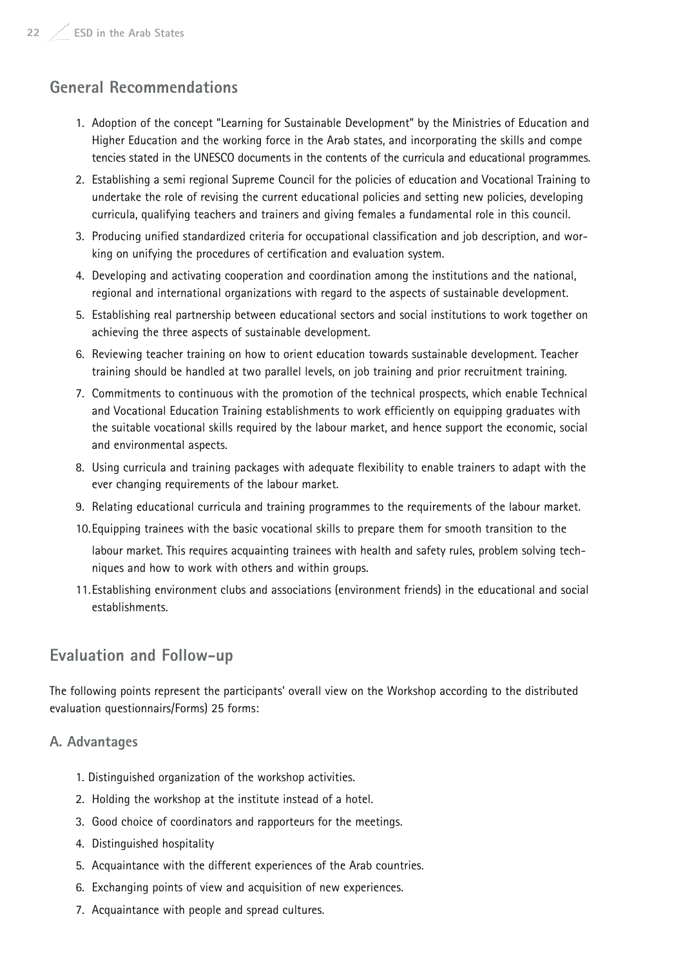### **General Recommendations**

- 1. Adoption of the concept "Learning for Sustainable Development" by the Ministries of Education and Higher Education and the working force in the Arab states, and incorporating the skills and compe tencies stated in the UNESCO documents in the contents of the curricula and educational programmes.
- 2. Establishing a semi regional Supreme Council for the policies of education and Vocational Training to undertake the role of revising the current educational policies and setting new policies, developing curricula, qualifying teachers and trainers and giving females a fundamental role in this council.
- 3. Producing unified standardized criteria for occupational classification and job description, and working on unifying the procedures of certification and evaluation system.
- 4. Developing and activating cooperation and coordination among the institutions and the national, regional and international organizations with regard to the aspects of sustainable development.
- 5. Establishing real partnership between educational sectors and social institutions to work together on achieving the three aspects of sustainable development.
- 6. Reviewing teacher training on how to orient education towards sustainable development. Teacher training should be handled at two parallel levels, on job training and prior recruitment training.
- 7. Commitments to continuous with the promotion of the technical prospects, which enable Technical and Vocational Education Training establishments to work efficiently on equipping graduates with the suitable vocational skills required by the labour market, and hence support the economic, social and environmental aspects.
- 8. Using curricula and training packages with adequate flexibility to enable trainers to adapt with the ever changing requirements of the labour market.
- 9. Relating educational curricula and training programmes to the requirements of the labour market.
- 10.Equipping trainees with the basic vocational skills to prepare them for smooth transition to the labour market. This requires acquainting trainees with health and safety rules, problem solving techniques and how to work with others and within groups.
- 11.Establishing environment clubs and associations (environment friends) in the educational and social establishments.

### **Evaluation and Follow-up**

The following points represent the participants' overall view on the Workshop according to the distributed evaluation questionnairs/Forms) 25 forms:

#### **A. Advantages**

- 1. Distinguished organization of the workshop activities.
- 2. Holding the workshop at the institute instead of a hotel.
- 3. Good choice of coordinators and rapporteurs for the meetings.
- 4. Distinguished hospitality
- 5. Acquaintance with the different experiences of the Arab countries.
- 6. Exchanging points of view and acquisition of new experiences.
- 7. Acquaintance with people and spread cultures.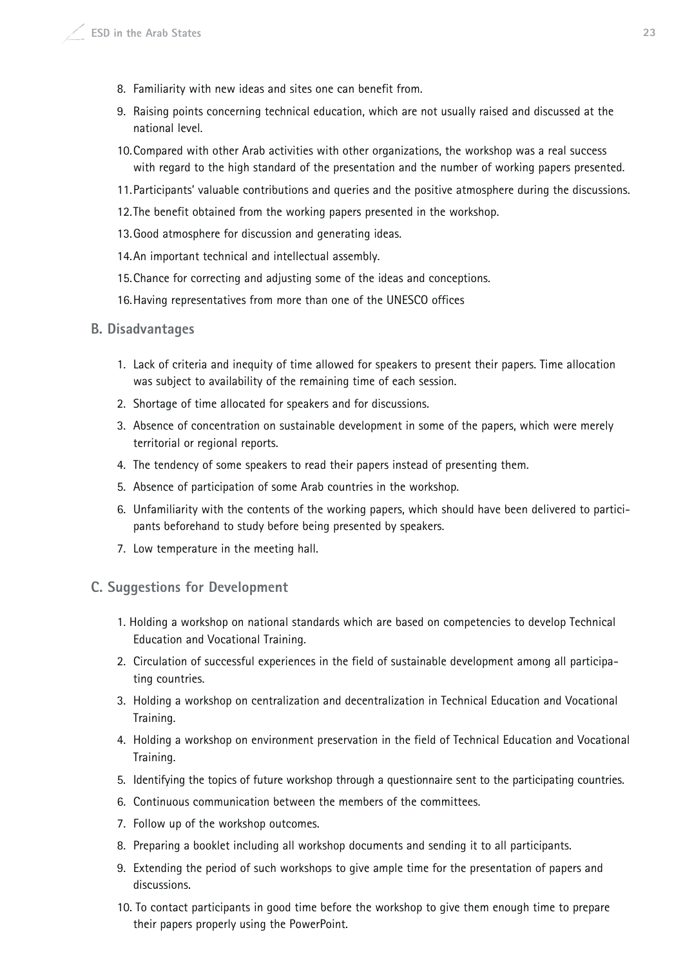- 8. Familiarity with new ideas and sites one can benefit from.
- 9. Raising points concerning technical education, which are not usually raised and discussed at the national level.
- 10.Compared with other Arab activities with other organizations, the workshop was a real success with regard to the high standard of the presentation and the number of working papers presented.
- 11.Participants' valuable contributions and queries and the positive atmosphere during the discussions.
- 12.The benefit obtained from the working papers presented in the workshop.
- 13.Good atmosphere for discussion and generating ideas.
- 14.An important technical and intellectual assembly.
- 15.Chance for correcting and adjusting some of the ideas and conceptions.
- 16.Having representatives from more than one of the UNESCO offices

#### **B. Disadvantages**

- 1. Lack of criteria and inequity of time allowed for speakers to present their papers. Time allocation was subject to availability of the remaining time of each session.
- 2. Shortage of time allocated for speakers and for discussions.
- 3. Absence of concentration on sustainable development in some of the papers, which were merely territorial or regional reports.
- 4. The tendency of some speakers to read their papers instead of presenting them.
- 5. Absence of participation of some Arab countries in the workshop.
- 6. Unfamiliarity with the contents of the working papers, which should have been delivered to participants beforehand to study before being presented by speakers.
- 7. Low temperature in the meeting hall.

#### **C. Suggestions for Development**

- 1. Holding a workshop on national standards which are based on competencies to develop Technical Education and Vocational Training.
- 2. Circulation of successful experiences in the field of sustainable development among all participating countries.
- 3. Holding a workshop on centralization and decentralization in Technical Education and Vocational Training.
- 4. Holding a workshop on environment preservation in the field of Technical Education and Vocational Training.
- 5. Identifying the topics of future workshop through a questionnaire sent to the participating countries.
- 6. Continuous communication between the members of the committees.
- 7. Follow up of the workshop outcomes.
- 8. Preparing a booklet including all workshop documents and sending it to all participants.
- 9. Extending the period of such workshops to give ample time for the presentation of papers and discussions.
- 10. To contact participants in good time before the workshop to give them enough time to prepare their papers properly using the PowerPoint.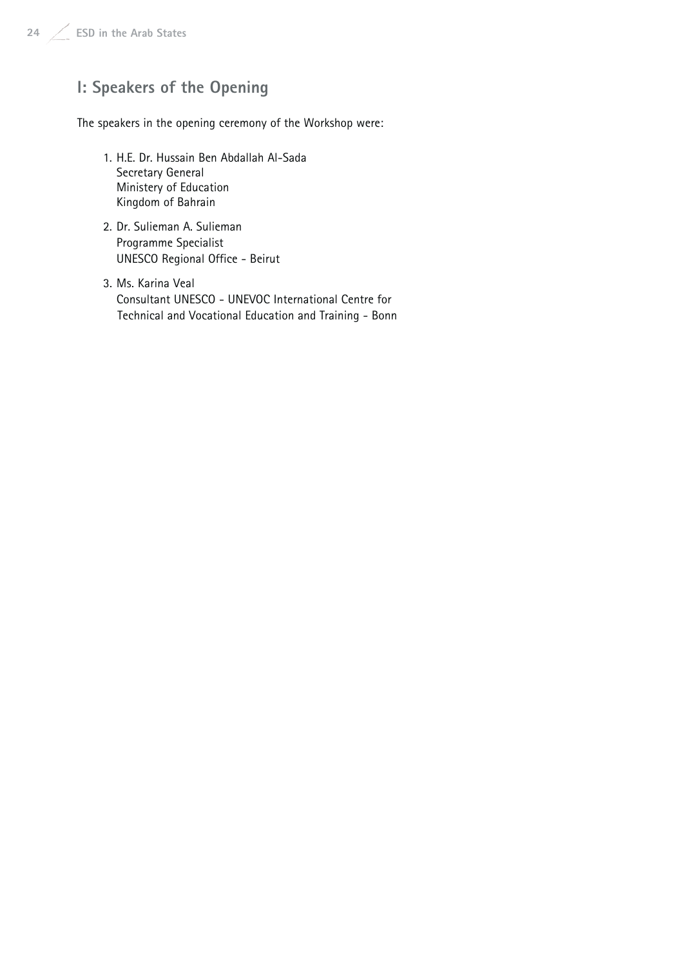# **I: Speakers of the Opening**

The speakers in the opening ceremony of the Workshop were:

- 1. H.E. Dr. Hussain Ben Abdallah Al-Sada Secretary General Ministery of Education Kingdom of Bahrain
- 2. Dr. Sulieman A. Sulieman Programme Specialist UNESCO Regional Office - Beirut
- 3. Ms. Karina Veal Consultant UNESCO - UNEVOC International Centre for Technical and Vocational Education and Training - Bonn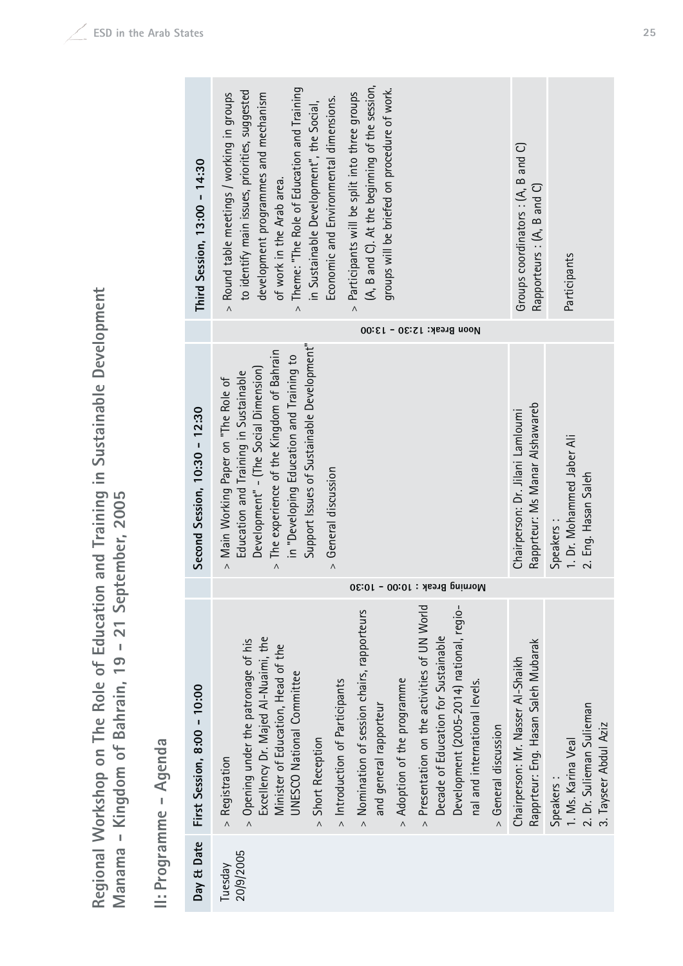| 1<br><b>Daver</b><br>ď<br>5<br>I<br>フリース<br>$\frac{1}{2}$<br>U                    |                                                                                                                              |
|-----------------------------------------------------------------------------------|------------------------------------------------------------------------------------------------------------------------------|
| ' מו ממומות<br>١<br>l<br>Š<br>$\equiv$<br>$\overline{\phantom{a}}$<br>S<br>F<br>F | S<br>$\overline{\mathbf{C}}$<br>)<br>$\epsilon$<br>J<br>$\overline{\mathbf{C}}$<br>d<br>ć<br>Į<br>Í<br>ä<br>Ś<br>ž<br>Í<br>J |
| I<br>I<br>J<br>j<br><del>۔</del><br>⊔<br>ļ<br>Ć                                   | U<br>Tr<br>√<br>I<br>$\frac{1}{2}$<br>Ś                                                                                      |
| The Role<br>ľ<br>$\frac{1}{2}$<br>١                                               | .<br>و<br>٢<br>$\blacksquare$                                                                                                |
| Ì<br>I<br>$\overline{\phantom{a}}$<br>é                                           | Ċ<br>₹<br>Į<br>١<br>Κ.in.<br>J                                                                                               |
| Í<br>÷<br>I<br>٦                                                                  | S<br>¢<br>İ                                                                                                                  |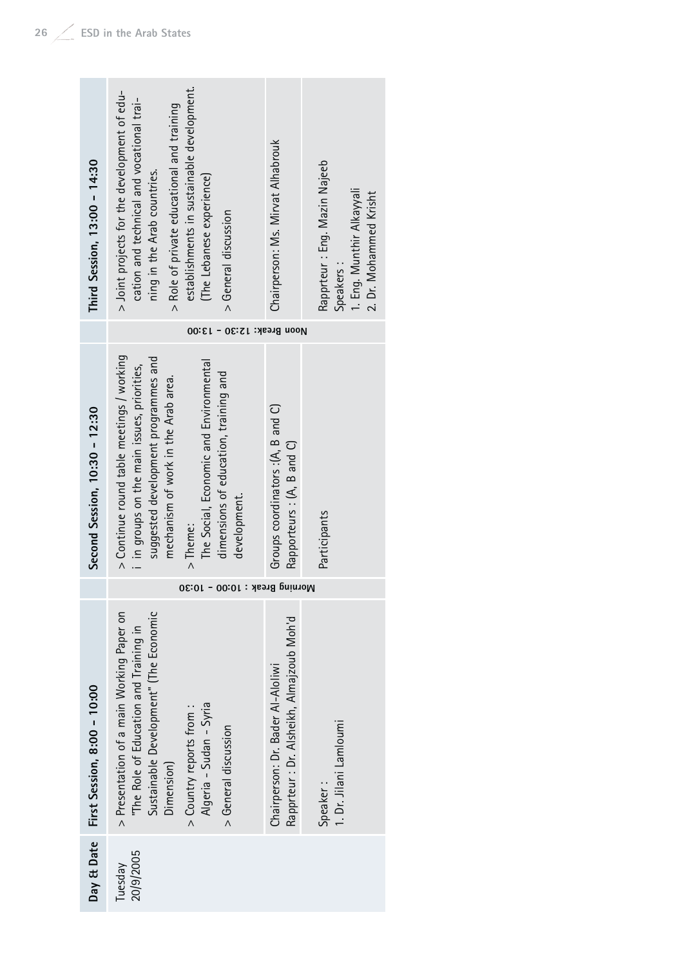| Third Session, 13:00 - 14:30  | establishments in sustainable development.<br>> Joint projects for the development of edu-<br>cation and technical and vocational trai-<br>> Role of private educational and training<br>ning in the Arab countries.<br>(The Lebanese experience)<br>> General discussion              | Chairperson: Ms. Mirvat Alhabrouk                                             | Rapprteur: Eng. Mazin Najeeb<br>1. Eng. Munthir Alkayyali<br>2. Dr. Mohammed Krisht<br>Speakers: |
|-------------------------------|----------------------------------------------------------------------------------------------------------------------------------------------------------------------------------------------------------------------------------------------------------------------------------------|-------------------------------------------------------------------------------|--------------------------------------------------------------------------------------------------|
|                               | 13:00<br>12:30                                                                                                                                                                                                                                                                         | <b>Break:</b><br>uooŊ                                                         |                                                                                                  |
| Second Session, 10:30 - 12:30 | > Continue round table meetings / working<br>suggested development programmes and<br>The Social, Economic and Environmental<br>i in groups on the main issues, priorities,<br>dimensions of education, training and<br>mechanism of work in the Arab area.<br>development.<br>> Theme: | Groups coordinators :(A, B and C)<br>Rapporteurs: (A, B and C)                | Participants                                                                                     |
|                               | <b>Break</b><br>00:01<br>10:30                                                                                                                                                                                                                                                         | <b>Derning</b>                                                                |                                                                                                  |
| First Session, 8:00 - 10:00   | > Presentation of a main Working Paper on<br>Sustainable Development" (The Economic<br>"The Role of Education and Training in<br>Algeria - Sudan - Syria<br>> Country reports from:<br>> General discussion<br>Dimension)                                                              | Rapprteur: Dr. Alsheikh, Almajzoub Moh'd<br>Chairperson: Dr. Bader Al-Aloliwi | 1. Dr. Jilani Lamloumi<br>Speaker:                                                               |
| Day & Date                    | 20/9/2005<br>Tuesday                                                                                                                                                                                                                                                                   |                                                                               |                                                                                                  |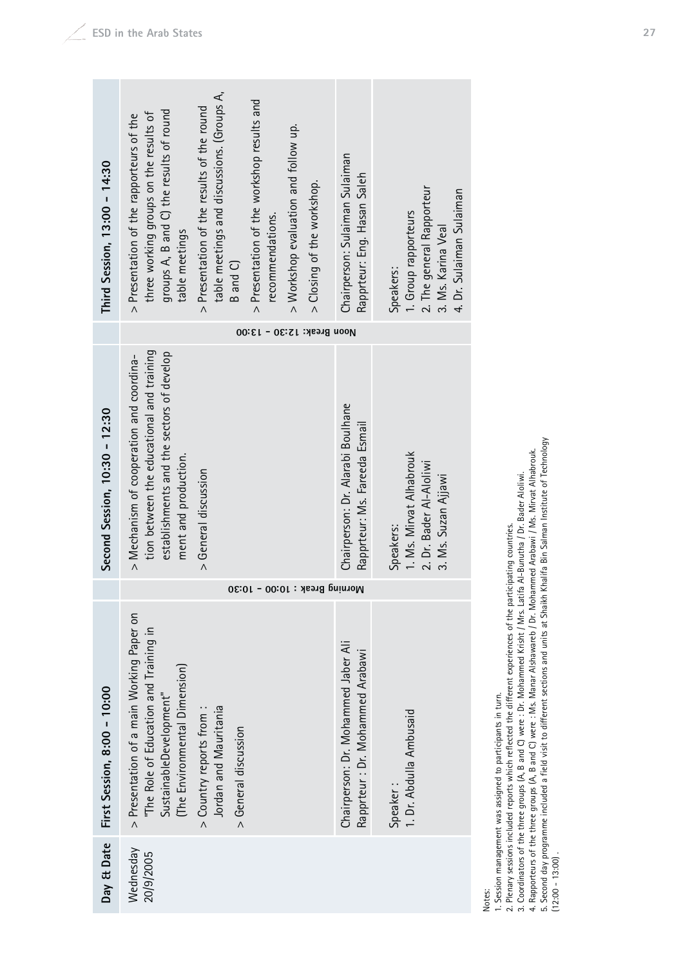| Third Session, 13:00 - 14:30  | table meetings and discussions. (Groups A,<br>> Presentation of the workshop results and<br>> Presentation of the results of the round<br>groups A, B and C) the results of round<br>three working groups on the results of<br>> Presentation of the rapporteurs of the<br>> Workshop evaluation and follow up.<br>> Closing of the workshop.<br>recommendations.<br>table meetings<br>B and C) | Chairperson: Sulaiman Sulaiman<br>Rapprteur: Eng. Hasan Saleh<br>2. The general Rapporteur<br>4. Dr. Sulaiman Sulaiman<br>1. Group rapporteurs<br>3. Ms. Karina Vea<br>Speakers: |                                                                                                                                                                                                                                                                                                                                                                                                                                                                                                                                                                                |
|-------------------------------|-------------------------------------------------------------------------------------------------------------------------------------------------------------------------------------------------------------------------------------------------------------------------------------------------------------------------------------------------------------------------------------------------|----------------------------------------------------------------------------------------------------------------------------------------------------------------------------------|--------------------------------------------------------------------------------------------------------------------------------------------------------------------------------------------------------------------------------------------------------------------------------------------------------------------------------------------------------------------------------------------------------------------------------------------------------------------------------------------------------------------------------------------------------------------------------|
|                               | $-13:00$<br>Noon Break: 12:30                                                                                                                                                                                                                                                                                                                                                                   |                                                                                                                                                                                  |                                                                                                                                                                                                                                                                                                                                                                                                                                                                                                                                                                                |
| Second Session, 10:30 - 12:30 | tion between the educational and training<br>establishments and the sectors of develop<br>> Mechanism of cooperation and coordina-<br>ment and production.<br>> General discussion                                                                                                                                                                                                              | Chairperson: Dr. Alarabi Boulhane<br>Rapprteur: Ms. Fareeda Esmail<br>1. Ms. Mirvat Alhabrouk<br>2. Dr. Bader Al-Aloliwi<br>3. Ms. Suzan Ajjawi<br>Speakers:                     |                                                                                                                                                                                                                                                                                                                                                                                                                                                                                                                                                                                |
|                               | Morning Break: 10:00 - 10:30                                                                                                                                                                                                                                                                                                                                                                    |                                                                                                                                                                                  |                                                                                                                                                                                                                                                                                                                                                                                                                                                                                                                                                                                |
| First Session, 8:00 - 10:00   | > Presentation of a main Working Paper on<br>"The Role of Education and Training in<br>(The Environmental Dimension)<br>SustainableDevelopment"<br>Jordan and Mauritania<br>> Country reports from:<br>> General discussion                                                                                                                                                                     | Chairperson: Dr. Mohammed Jaber Ali<br>Rapprteur: Dr. Mohammed Arabawi<br>1. Dr. Abdulla Ambusaid<br>Speaker:                                                                    | 5. Second day programme included a field visit to different sections and units at Shaikh Khalifa Bin Salman Institute of Technology<br>4. Rapporteurs of the three groups (A, B and C) were : Ms. Manar Alshawareb / Dr. Mohammed Arabawi / Ms. Mirvat Alhabrouk.<br>3. Coordinators of the three groups (A, B and C) were : Dr. Mohammed Krisht / Mrs. Latifa Al-Bunutha / Dr. Bader Aloliwi.<br>2. Plenary sessions included reports which reflected the different experiences of the participating countries.<br>. Session management was assigned to participants in turn. |
| Day & Date                    | Wednesday<br>20/9/2005                                                                                                                                                                                                                                                                                                                                                                          |                                                                                                                                                                                  | $(12:00 - 13:00)$ .<br>Notes:                                                                                                                                                                                                                                                                                                                                                                                                                                                                                                                                                  |

 $\sim$ m in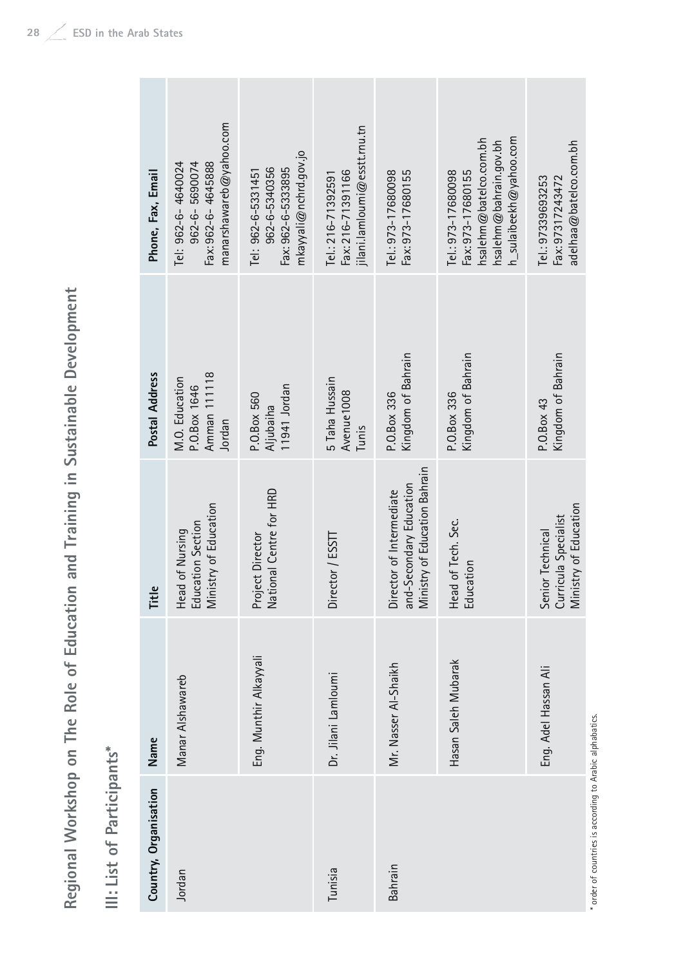| ı<br>l<br>S<br>$\overline{\mathbf{C}}$<br>١<br>I<br>VP<br>ā.<br>J<br>ļ<br>I                                                                                      |
|------------------------------------------------------------------------------------------------------------------------------------------------------------------|
| d<br>J<br>ı<br>Ś<br>)<br>¢<br>S<br>ċ<br>j<br>١<br>f<br>١<br>ι<br>I                                                                                               |
| g<br>ī<br>i<br>ו<br>S<br>E<br>l<br>İ                                                                                                                             |
| ₹<br>$\zeta$<br>ä,<br>G<br>S<br>¢<br>١<br>ĺ<br>j                                                                                                                 |
| I<br>$\epsilon$<br>J<br>I<br>₹<br>š<br>l<br>ı<br>ł<br>١<br>Ć<br>١<br>υ                                                                                           |
| ı<br><del>。</del><br>֖֖֚֚֚֚֚֚֚֚֚֚֚֚֚֚֚֚֚֚֚֚֚֚֚֚֚֚֚֚֬֡֡֡֡֡֬֓֡֓֡֞֡֡֓֡֡֡֬<br>¥<br>ľ<br>d<br>J<br>֖֖֖֢ׅ֖֧֪ׅ֚֚֚֚֚֚֚֚֚֚֚֚֚֚֚֚֚֚֚֚֚֬֝֓֡֓֡֞֓֡֡֓֞֝֬֝֓<br>Ś<br>Ī<br>֠<br>S |
| E<br>ć<br>Ś<br>0<br>š<br>l<br>l<br>ζ<br>4<br>١<br>ž<br>l<br>í<br>¢<br>١                                                                                          |
| ¢<br>Ś<br>l<br>Ó<br>j<br>Ž<br>2<br>١<br>d<br>J<br>ŕ<br>ļ<br>I                                                                                                    |

III: List of Participants\* **III: List of Participants\***

| Phone, Fax, Email         | manarshawareb $@$ yahoo.com<br>962-6-5690074<br>Tel: 962-6-4640024<br>Fax: 962-6-4645888 | mkayyali@nchrd.gov.jo<br>962-6-5340356<br>Fax: 962-6-5333895<br>Tel: 962-6-5331451 | jilani.lamloumi@esstt.rnu.tn<br>Fax: 216-71391166<br>Tel.: 216-71392591 | Tel.: 973-17680098<br>Fax: 973-17680155                                                  | h_sulaibeekh@yahoo.com<br>hsalehm@batelco.com.bh<br>hsalehm $@$ bahrain.gov.bh<br>Tel.: 973-17680098<br>Fax: 973-17680155 | adelhaa@batelco.com.bh<br>Fax: 97317243472<br>Tel.: 97339693253   |
|---------------------------|------------------------------------------------------------------------------------------|------------------------------------------------------------------------------------|-------------------------------------------------------------------------|------------------------------------------------------------------------------------------|---------------------------------------------------------------------------------------------------------------------------|-------------------------------------------------------------------|
|                           |                                                                                          |                                                                                    |                                                                         |                                                                                          |                                                                                                                           |                                                                   |
| Postal Address            | Amman 111118<br>M.O. Education<br>P.O.Box 1646<br>Jordan                                 | 11941 Jordan<br>P.O.Box 560<br>Aljubaiha                                           | 5 Taha Hussain<br>Avenue1008<br>Tunis                                   | Kingdom of Bahrain<br>P.O.Box 336                                                        | Kingdom of Bahrain<br>P.O.Box 336                                                                                         | Kingdom of Bahrain<br>P.O.Box 43                                  |
| $\mathbf{\omega}$<br>Titl | Ministry of Education<br>Education Section<br>Head of Nursing                            | National Centre for HRD<br>Project Director                                        | Director / ESSTT                                                        | istry of Education Bahrain<br>and-Secondary Education<br>Director of Intermediate<br>Min | Head of Tech. Sec.<br>Education                                                                                           | Ministry of Education<br>Curricula Specialist<br>Senior Technical |
| Name                      | Manar Alshawareb                                                                         | Eng. Munthir Alkayyali                                                             | Dr. Jilani Lamloumi                                                     | Mr. Nasser AI-Shaikh                                                                     | Hasan Saleh Mubarak                                                                                                       | Eng. Adel Hassan Ali                                              |
| Country, Organisation     | Jordan                                                                                   |                                                                                    | Tunisia                                                                 | Bahrain                                                                                  |                                                                                                                           |                                                                   |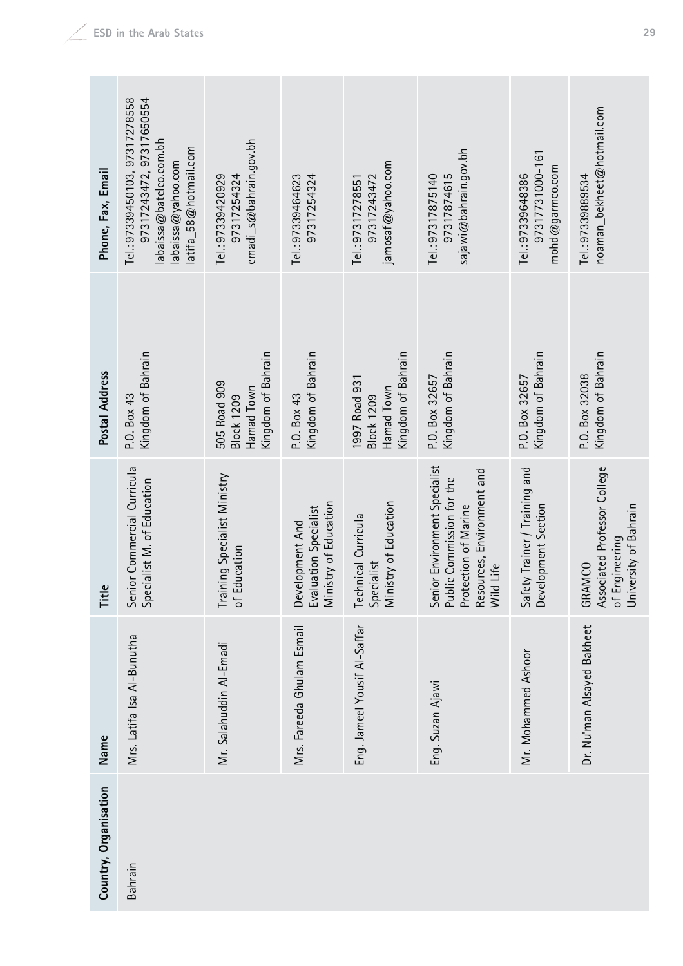| Phone, Fax, Email     | Tel: 97339450103, 97317278558<br>97317243472, 97317650554<br>labaissa@batelco.com.bh<br>atifa_58@hotmail.com<br>labaissa@yahoo.com | emadi_s@bahrain.gov.bh<br>97317254324<br>Tel.: 97339420929            | 97317254324<br>Tel.: 97339464623                                  | jamosaf@yahoo.com<br>97317243472<br>Tel.: 97317278551                  | sajawi@bahrain.gov.bh<br>Tel.: 97317875140<br>97317874615                                                                     | 97317731000-161<br>mohd@garmco.com<br>Tel.: 97339648386 | noaman_bekheet@hotmail.com<br>Tel.: 97339889534                                   |
|-----------------------|------------------------------------------------------------------------------------------------------------------------------------|-----------------------------------------------------------------------|-------------------------------------------------------------------|------------------------------------------------------------------------|-------------------------------------------------------------------------------------------------------------------------------|---------------------------------------------------------|-----------------------------------------------------------------------------------|
| Postal Address        | Kingdom of Bahrain<br>P.O. Box 43                                                                                                  | Kingdom of Bahrain<br>505 Road 909<br>Hamad Town<br><b>Block 1209</b> | Kingdom of Bahrain<br>P.O. Box 43                                 | Kingdom of Bahrain<br>1997 Road 931<br>Hamad Town<br><b>Block 1209</b> | Kingdom of Bahrain<br>P.O. Box 32657                                                                                          | Kingdom of Bahrain<br>P.O. Box 32657                    | Kingdom of Bahrain<br>P.O. Box 32038                                              |
| Title                 | Senior Commercial Curricula<br>Specialist M. of Education                                                                          | Training Specialist Ministry<br>of Education                          | Ministry of Education<br>Evaluation Specialist<br>Development And | Ministry of Education<br>Technical Curricula<br>Specialist             | Senior Environment Specialist<br>Resources, Environment and<br>Public Commission for the<br>Protection of Marine<br>Wild Life | Safety Trainer / Training and<br>Development Section    | Associated Professor College<br>University of Bahrain<br>of Engineering<br>GRAMCO |
| Name                  | Mrs. Latifa Isa Al-Bunutha                                                                                                         | Mr. Salahuddin Al-Emadi                                               | Mrs. Fareeda Ghulam Esmail                                        | Eng. Jameel Yousif Al-Saffar                                           | Eng. Suzan Ajawi                                                                                                              | Mr. Mohammed Ashoor                                     | Dr. Nu'man Alsayed Bakheet                                                        |
| Country, Organisation | <b>Bahrain</b>                                                                                                                     |                                                                       |                                                                   |                                                                        |                                                                                                                               |                                                         |                                                                                   |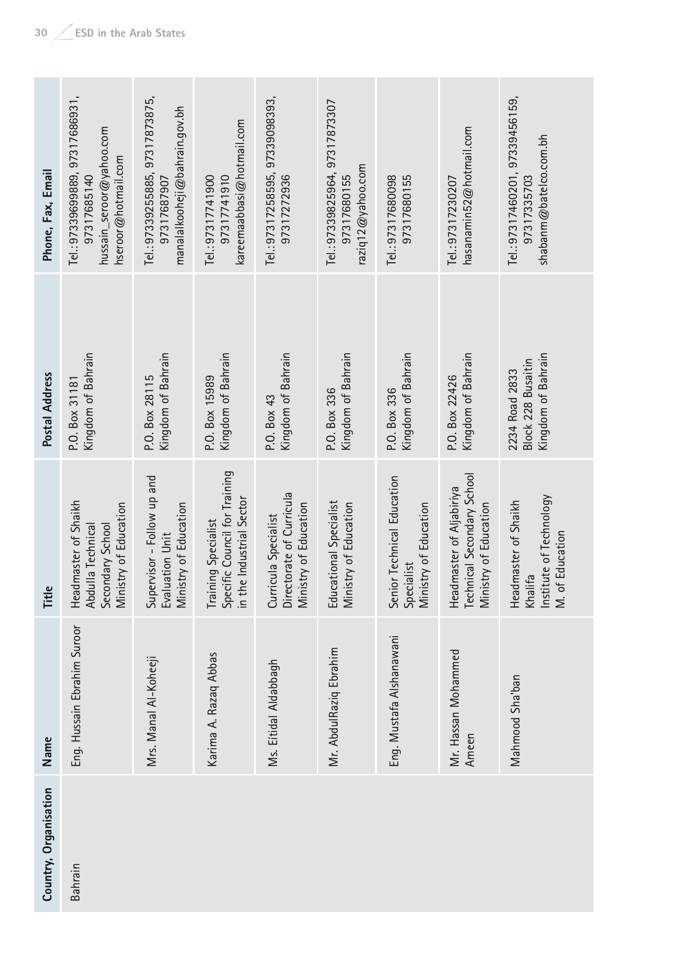| Phone, Fax, Email     | 97317686931,<br>hussain_seroor@yahoo.com<br>hseroor@hotmail.com<br>Tel.: 97339699889,<br>97317685140 | 97317873875,<br>manalalkooheji $@$ bahrain.gov.bh<br>Tel.: 97339255885,<br>97317687907 | kareemaabbasi@hotmail.com<br>Tel.: 97317741900<br>97317741910                    | Tel.: 97317258595, 97339098393,<br>97317272936                            | Tel: 97339825964, 97317873307<br>raziq12@yahoo.com<br>97317680155 | Tel.: 97317680098<br>97317680155                                  | hasanamin52@hotmail.com<br>Tel.: 97317230207                                    | Tel.: 97317460201, 97339456159,<br>shabanm@batelco.com.bh<br>97317335703      |
|-----------------------|------------------------------------------------------------------------------------------------------|----------------------------------------------------------------------------------------|----------------------------------------------------------------------------------|---------------------------------------------------------------------------|-------------------------------------------------------------------|-------------------------------------------------------------------|---------------------------------------------------------------------------------|-------------------------------------------------------------------------------|
| Postal Address        | Kingdom of Bahrain<br>P.O. Box 31181                                                                 | Kingdom of Bahrain<br>P.O. Box 28115                                                   | Kingdom of Bahrain<br>P.O. Box 15989                                             | Kingdom of Bahrain<br>P.O. Box 43                                         | Kingdom of Bahrain<br>P.O. Box 336                                | Kingdom of Bahrain<br>P.O. Box 336                                | Kingdom of Bahrain<br>P.O. Box 22426                                            | Kingdom of Bahrain<br>Block 228 Busaitin<br>2234 Road 2833                    |
| Title                 | Headmaster of Shaikh<br>Ministry of Education<br>Secondary School<br>Abdulla Technical               | Supervisor - Follow up and<br>Evaluation Unit<br>Ministry of Education                 | Specific Council for Training<br>in the Industrial Sector<br>Training Specialist | Directorate of Curricula<br>Ministry of Education<br>Curricula Specialist | Educational Specialist<br>Ministry of Education                   | Senior Technical Education<br>Ministry of Education<br>Specialist | Technical Secondary School<br>Headmaster of Aljabiriya<br>Ministry of Education | Institute of Technology<br>Headmaster of Shaikh<br>M. of Education<br>Khalifa |
| Name                  | Eng. Hussain Ebrahim Suroor                                                                          | Mrs. Manal Al-Koheeji                                                                  | Karima A. Razaq Abbas                                                            | Ms. Eitidal Aldabbagh                                                     | Mr. AbdulRaziq Ebrahim                                            | Eng. Mustafa Alshanawani                                          | Mr. Hassan Mohammed<br>Ameen                                                    | Mahmood Sha'ban                                                               |
| Country, Organisation | Bahrain                                                                                              |                                                                                        |                                                                                  |                                                                           |                                                                   |                                                                   |                                                                                 |                                                                               |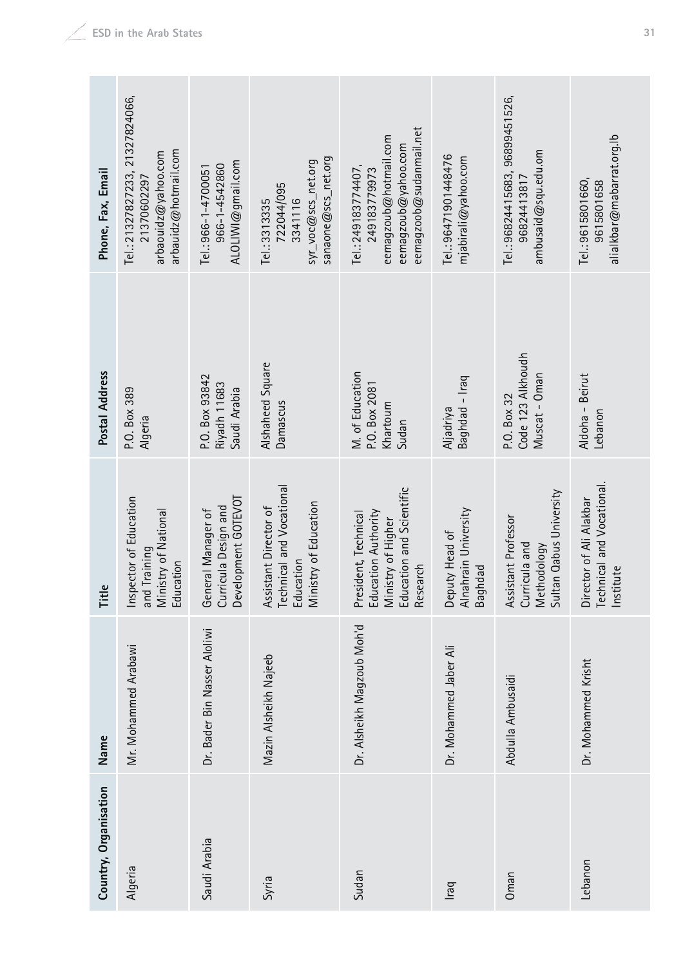| Phone, Fax, Email     | Tel.: 21327827233, 21327824066,<br>arbauidz@hotmail.com<br>arbaouidz@yahoo.com<br>21370602297 | ALOLIWI@gmail.com<br>966-1-4542860<br>Tel.: 966-1-4700051         | sanaone@scs_net.org<br>syr_voc@scs_net.org<br>722044/095<br>3341116<br>Tel.: 3313335           | eemagzoob@sudanmail.net<br>eemagzoub@hotmail.com<br>eemagzoub $@$ yahoo.com<br>Tel.: 249183774407<br>249183779973 | Tel.: 96471901448476<br>mjabirali@yahoo.com       | Tel: 96824415683, 96899451526,<br>$\mathsf{am}$ busaid $\mathcal Q$ squ.edu.om<br>96824413817 | alialkbar@mabarrat.org.lb<br>Tel.: 9615801660,<br>9615801658      |
|-----------------------|-----------------------------------------------------------------------------------------------|-------------------------------------------------------------------|------------------------------------------------------------------------------------------------|-------------------------------------------------------------------------------------------------------------------|---------------------------------------------------|-----------------------------------------------------------------------------------------------|-------------------------------------------------------------------|
| Postal Address        | P.O. Box 389<br>Algeria                                                                       | P.O. Box 93842<br>Riyadh 11683<br>Saudi Arabia                    | Alshaheed Square<br>Damascus                                                                   | M. of Education<br>P.O. Box 2081<br>Khartoum<br>Sudan                                                             | Baghdad - Iraq<br>Aljadriya                       | Code 123 Alkhoudh<br>Muscat - Oman<br>P.O. Box 32                                             | Aldoha - Beirut<br>Lebanon                                        |
| Title                 | Inspector of Education<br>Ministry of National<br>and Training<br>Education                   | Development GOTEVOT<br>Curricula Design and<br>General Manager of | <b>Technical and Vocational</b><br>Ministry of Education<br>Assistant Director of<br>Education | Education and Scientific<br>Education Authority<br>President, Technical<br>Ministry of Higher<br>Research         | Alnahrain University<br>Deputy Head of<br>Baghdad | Methodology<br>Sultan Qabus University<br>Assistant Professor<br>Curricula and                | Technical and Vocational.<br>Director of Ali Alakbar<br>Institute |
| Name                  | Mr. Mohammed Arabawi                                                                          | Dr. Bader Bin Nasser Aloliwi                                      | Mazin Alsheikh Najeeb                                                                          | Dr. Alsheikh Magzoub Moh'd                                                                                        | Dr. Mohammed Jaber Ali                            | Abdulla Ambusaidi                                                                             | Dr. Mohammed Krisht                                               |
| Country, Organisation | Algeria                                                                                       | Saudi Arabia                                                      | Syria                                                                                          | Sudan                                                                                                             | Iraq                                              | Oman                                                                                          | Lebanon                                                           |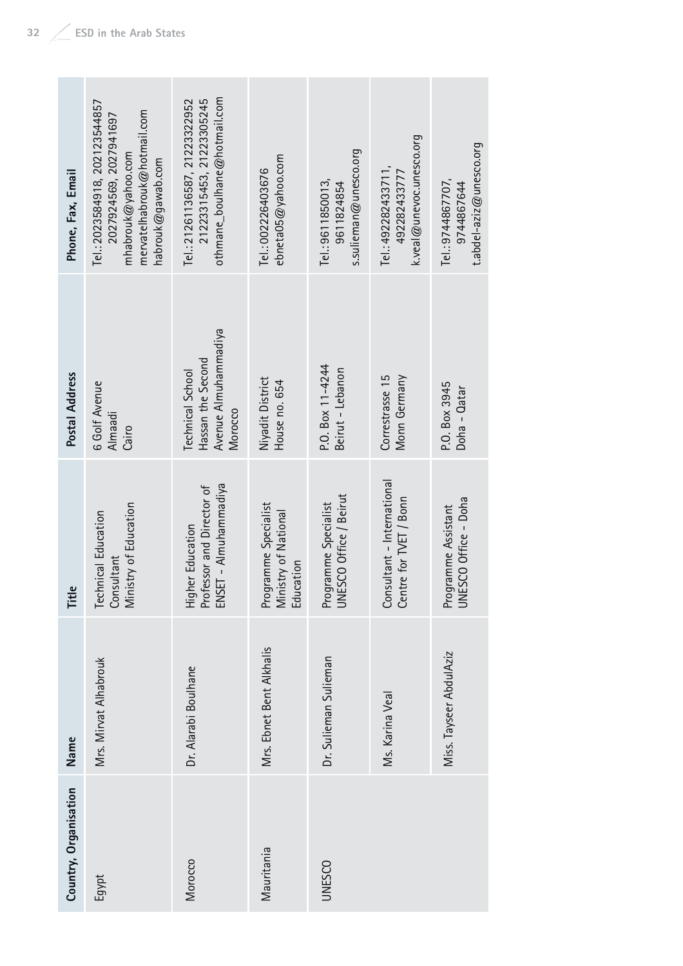| Phone, Fax, Email     | Tel.: 2023584918, 202123544857<br>mervatelhabrouk@hotmail.com<br>2027924569, 2027941697<br>$m$ habrouk $@$ yahoo.com<br>habrouk@gawab.com | othmane_boulhane@hotmail.com<br>21223315453, 21223305245<br>Tel.: 21261136587, 21223322952 | ebneta05@yahoo.com<br>Tel.: 002226403676                  | s.sulieman@unesco.org<br>Tel.: 9611850013<br>9611824854 | k.veal@unevoc.unesco.org<br>Tel.: 492282433711,<br>492282433777 | t.abdel-aziz@unesco.org<br>Tel.: 9744867707,<br>9744867644 |
|-----------------------|-------------------------------------------------------------------------------------------------------------------------------------------|--------------------------------------------------------------------------------------------|-----------------------------------------------------------|---------------------------------------------------------|-----------------------------------------------------------------|------------------------------------------------------------|
| Postal Address        | 6 Golf Avenue<br>Almaadi<br>Cairo                                                                                                         | Avenue Almuhammadiya<br>Hassan the Second<br><b>Technical School</b><br>Morocco            | Niyadit District<br>House no. 654                         | P.O. Box 11-4244<br>Beirut - Lebanon                    | Correstrasse 15<br>Monn Germany                                 | P.O. Box 3945<br>Doha - Qatar                              |
| Title                 | Ministry of Education<br>Technical Education<br>Consultant                                                                                | Higher Education<br>Professor and Director of<br>ENSET - Almuhammadiya                     | Programme Specialist<br>Ministry of National<br>Education | UNESCO Office / Beirut<br>Programme Specialist          | Consultant - International<br>Centre for TVET / Bonn            | UNESCO Office - Doha<br>Programme Assistant                |
| Name                  | Mrs. Mirvat Alhabrouk                                                                                                                     | Dr. Alarabi Boulhane                                                                       | Mrs. Ebnet Bent Alkhalis                                  | Dr. Sulieman Sulieman                                   | Ms. Karina Veal                                                 | Miss. Tayseer AbdulAziz                                    |
| Country, Organisation | Egypt                                                                                                                                     | Morocco                                                                                    | Mauritania                                                | <b>UNESCO</b>                                           |                                                                 |                                                            |